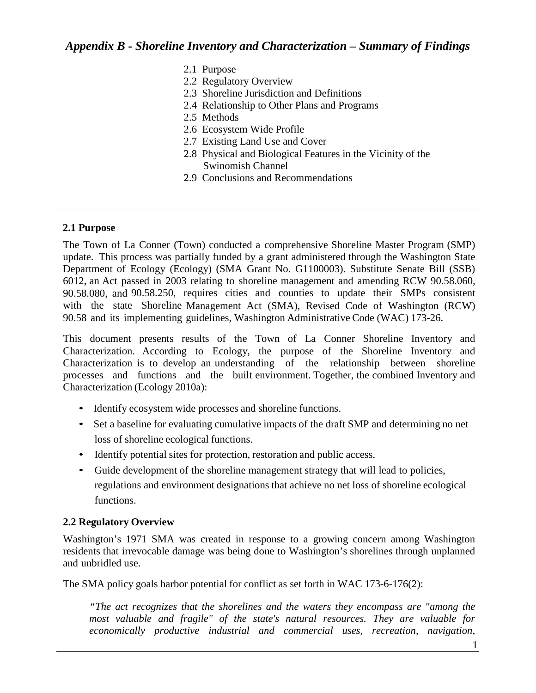- 2.1 Purpose
- 2.2 Regulatory Overview
- 2.3 Shoreline Jurisdiction and Definitions
- 2.4 Relationship to Other Plans and Programs
- 2.5 Methods
- 2.6 Ecosystem Wide Profile
- 2.7 Existing Land Use and Cover
- 2.8 Physical and Biological Features in the Vicinity of the Swinomish Channel
- 2.9 Conclusions and Recommendations

#### **2.1 Purpose**

The Town of La Conner (Town) conducted a comprehensive Shoreline Master Program (SMP) update. This process was partially funded by a grant administered through the Washington State Department of Ecology (Ecology) (SMA Grant No. G1100003). Substitute Senate Bill (SSB) 6012, an Act passed in 2003 relating to shoreline management and amending RCW 90.58.060, 90.58.080, and 90.58.250, requires cities and counties to update their SMPs consistent with the state Shoreline Management Act (SMA), Revised Code of Washington (RCW) 90.58 and its implementing guidelines, Washington Administrative Code (WAC) 173-26.

This document presents results of the Town of La Conner Shoreline Inventory and Characterization. According to Ecology, the purpose of the Shoreline Inventory and Characterization is to develop an understanding of the relationship between shoreline processes and functions and the built environment. Together, the combined Inventory and Characterization (Ecology 2010a):

- Identify ecosystem wide processes and shoreline functions.
- Set a baseline for evaluating cumulative impacts of the draft SMP and determining no net loss of shoreline ecological functions.
- Identify potential sites for protection, restoration and public access.
- Guide development of the shoreline management strategy that will lead to policies, regulations and environment designations that achieve no net loss of shoreline ecological functions.

#### **2.2 Regulatory Overview**

Washington's 1971 SMA was created in response to a growing concern among Washington residents that irrevocable damage was being done to Washington's shorelines through unplanned and unbridled use.

The SMA policy goals harbor potential for conflict as set forth in WAC 173-6-176(2):

*"The act recognizes that the shorelines and the waters they encompass are "among the most valuable and fragile" of the state's natural resources. They are valuable for economically productive industrial and commercial uses, recreation, navigation,*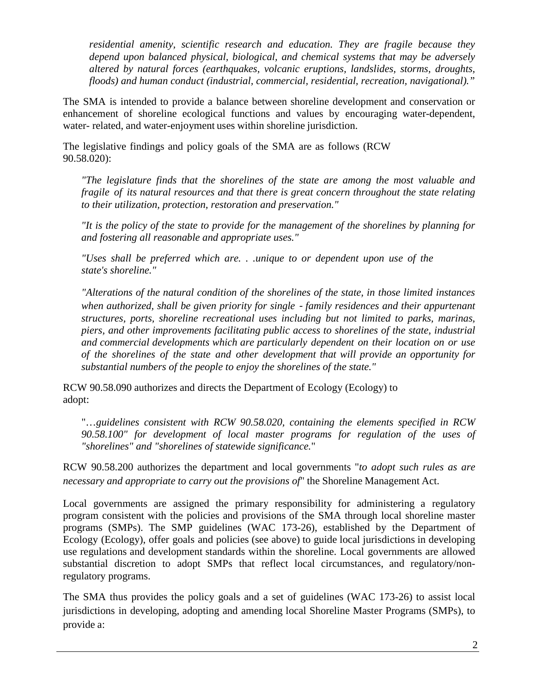*residential amenity, scientific research and education. They are fragile because they depend upon balanced physical, biological, and chemical systems that may be adversely altered by natural forces (earthquakes, volcanic eruptions, landslides, storms, droughts, floods) and human conduct (industrial, commercial, residential, recreation, navigational)."*

The SMA is intended to provide a balance between shoreline development and conservation or enhancement of shoreline ecological functions and values by encouraging water-dependent, water- related, and water-enjoyment uses within shoreline jurisdiction.

The legislative findings and policy goals of the SMA are as follows (RCW 90.58.020):

*"The legislature finds that the shorelines of the state are among the most valuable and fragile of its natural resources and that there is great concern throughout the state relating to their utilization, protection, restoration and preservation."*

*"It is the policy of the state to provide for the management of the shorelines by planning for and fostering all reasonable and appropriate uses."*

*"Uses shall be preferred which are. . .unique to or dependent upon use of the state's shoreline."*

*"Alterations of the natural condition of the shorelines of the state, in those limited instances when authorized, shall be given priority for single*‐*family residences and their appurtenant structures, ports, shoreline recreational uses including but not limited to parks, marinas, piers, and other improvements facilitating public access to shorelines of the state, industrial and commercial developments which are particularly dependent on their location on or use of the shorelines of the state and other development that will provide an opportunity for substantial numbers of the people to enjoy the shorelines of the state."*

RCW 90.58.090 authorizes and directs the Department of Ecology (Ecology) to adopt:

"…*guidelines consistent with RCW 90.58.020, containing the elements specified in RCW 90.58.100" for development of local master programs for regulation of the uses of "shorelines" and "shorelines of statewide significance.*"

RCW 90.58.200 authorizes the department and local governments "*to adopt such rules as are necessary and appropriate to carry out the provisions of*" the Shoreline Management Act.

Local governments are assigned the primary responsibility for administering a regulatory program consistent with the policies and provisions of the SMA through local shoreline master programs (SMPs). The SMP guidelines (WAC 173-26), established by the Department of Ecology (Ecology), offer goals and policies (see above) to guide local jurisdictions in developing use regulations and development standards within the shoreline. Local governments are allowed substantial discretion to adopt SMPs that reflect local circumstances, and regulatory/nonregulatory programs.

The SMA thus provides the policy goals and a set of guidelines (WAC 173-26) to assist local jurisdictions in developing, adopting and amending local Shoreline Master Programs (SMPs), to provide a: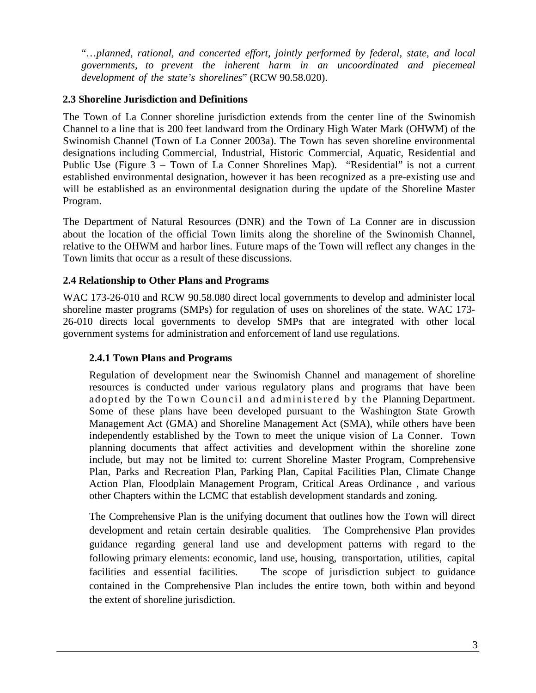"…*planned, rational, and concerted effort, jointly performed by federal, state, and local governments, to prevent the inherent harm in an uncoordinated and piecemeal development of the state's shorelines*" (RCW 90.58.020).

### **2.3 Shoreline Jurisdiction and Definitions**

The Town of La Conner shoreline jurisdiction extends from the center line of the Swinomish Channel to a line that is 200 feet landward from the Ordinary High Water Mark (OHWM) of the Swinomish Channel (Town of La Conner 2003a). The Town has seven shoreline environmental designations including Commercial, Industrial, Historic Commercial, Aquatic, Residential and Public Use (Figure 3 – Town of La Conner Shorelines Map). "Residential" is not a current established environmental designation, however it has been recognized as a pre-existing use and will be established as an environmental designation during the update of the Shoreline Master Program.

The Department of Natural Resources (DNR) and the Town of La Conner are in discussion about the location of the official Town limits along the shoreline of the Swinomish Channel, relative to the OHWM and harbor lines. Future maps of the Town will reflect any changes in the Town limits that occur as a result of these discussions.

### **2.4 Relationship to Other Plans and Programs**

WAC 173-26-010 and RCW 90.58.080 direct local governments to develop and administer local shoreline master programs (SMPs) for regulation of uses on shorelines of the state. WAC 173- 26-010 directs local governments to develop SMPs that are integrated with other local government systems for administration and enforcement of land use regulations.

### **2.4.1 Town Plans and Programs**

Regulation of development near the Swinomish Channel and management of shoreline resources is conducted under various regulatory plans and programs that have been adopted by the Town Council and administered by the Planning Department. Some of these plans have been developed pursuant to the Washington State Growth Management Act (GMA) and Shoreline Management Act (SMA), while others have been independently established by the Town to meet the unique vision of La Conner. Town planning documents that affect activities and development within the shoreline zone include, but may not be limited to: current Shoreline Master Program, Comprehensive Plan, Parks and Recreation Plan, Parking Plan, Capital Facilities Plan, Climate Change Action Plan, Floodplain Management Program, Critical Areas Ordinance , and various other Chapters within the LCMC that establish development standards and zoning.

The Comprehensive Plan is the unifying document that outlines how the Town will direct development and retain certain desirable qualities. The Comprehensive Plan provides guidance regarding general land use and development patterns with regard to the following primary elements: economic, land use, housing, transportation, utilities, capital facilities and essential facilities. The scope of jurisdiction subject to guidance contained in the Comprehensive Plan includes the entire town, both within and beyond the extent of shoreline jurisdiction.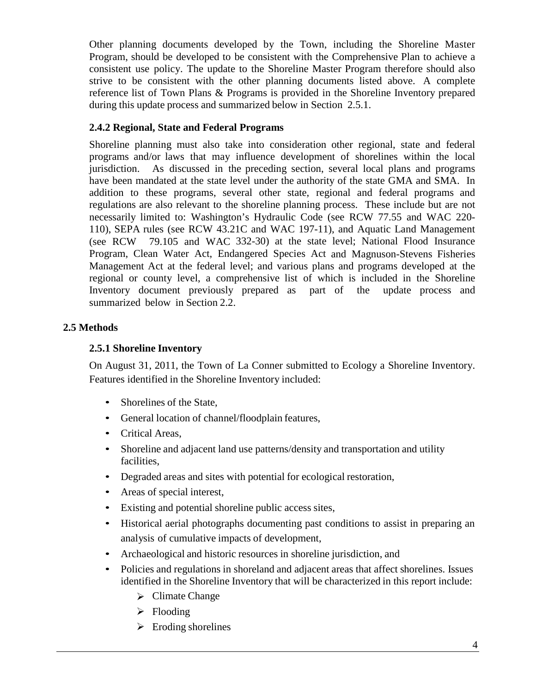Other planning documents developed by the Town, including the Shoreline Master Program, should be developed to be consistent with the Comprehensive Plan to achieve a consistent use policy. The update to the Shoreline Master Program therefore should also strive to be consistent with the other planning documents listed above. A complete reference list of Town Plans & Programs is provided in the Shoreline Inventory prepared during this update process and summarized below in Section 2.5.1.

### **2.4.2 Regional, State and Federal Programs**

Shoreline planning must also take into consideration other regional, state and federal programs and/or laws that may influence development of shorelines within the local jurisdiction. As discussed in the preceding section, several local plans and programs have been mandated at the state level under the authority of the state GMA and SMA. In addition to these programs, several other state, regional and federal programs and regulations are also relevant to the shoreline planning process. These include but are not necessarily limited to: Washington's Hydraulic Code (see RCW 77.55 and WAC 220- 110), SEPA rules (see RCW 43.21C and WAC 197-11), and Aquatic Land Management (see RCW 79.105 and WAC 332-30) at the state level; National Flood Insurance Program, Clean Water Act, Endangered Species Act and Magnuson-Stevens Fisheries Management Act at the federal level; and various plans and programs developed at the regional or county level, a comprehensive list of which is included in the Shoreline Inventory document previously prepared as part of the update process and summarized below in Section 2.2.

# **2.5 Methods**

### **2.5.1 Shoreline Inventory**

On August 31, 2011, the Town of La Conner submitted to Ecology a Shoreline Inventory. Features identified in the Shoreline Inventory included:

- Shorelines of the State,
- General location of channel/floodplain features,
- Critical Areas,
- Shoreline and adjacent land use patterns/density and transportation and utility facilities,
- Degraded areas and sites with potential for ecological restoration,
- Areas of special interest,
- Existing and potential shoreline public access sites,
- Historical aerial photographs documenting past conditions to assist in preparing an analysis of cumulative impacts of development,
- Archaeological and historic resources in shoreline jurisdiction, and
- Policies and regulations in shoreland and adjacent areas that affect shorelines. Issues identified in the Shoreline Inventory that will be characterized in this report include:
	- $\triangleright$  Climate Change
	- $\triangleright$  Flooding
	- $\triangleright$  Eroding shorelines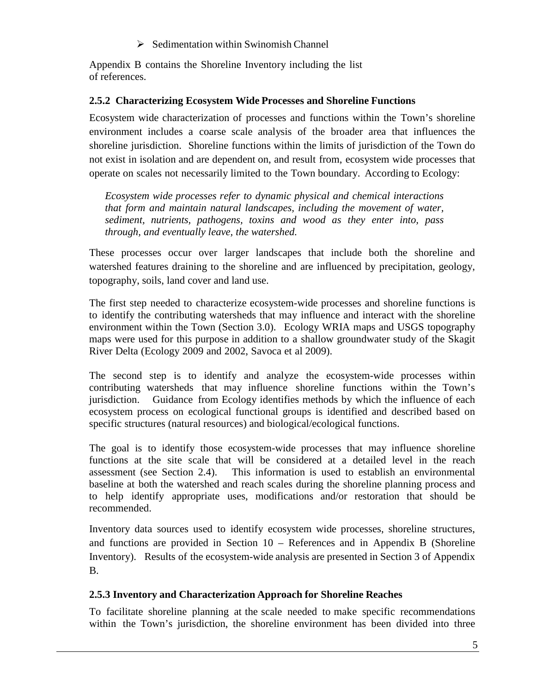$\triangleright$  Sedimentation within Swinomish Channel

Appendix B contains the Shoreline Inventory including the list of references.

### **2.5.2 Characterizing Ecosystem Wide Processes and Shoreline Functions**

Ecosystem wide characterization of processes and functions within the Town's shoreline environment includes a coarse scale analysis of the broader area that influences the shoreline jurisdiction. Shoreline functions within the limits of jurisdiction of the Town do not exist in isolation and are dependent on, and result from, ecosystem wide processes that operate on scales not necessarily limited to the Town boundary. According to Ecology:

*Ecosystem wide processes refer to dynamic physical and chemical interactions that form and maintain natural landscapes, including the movement of water, sediment, nutrients, pathogens, toxins and wood as they enter into, pass through, and eventually leave, the watershed.*

These processes occur over larger landscapes that include both the shoreline and watershed features draining to the shoreline and are influenced by precipitation, geology, topography, soils, land cover and land use.

The first step needed to characterize ecosystem-wide processes and shoreline functions is to identify the contributing watersheds that may influence and interact with the shoreline environment within the Town (Section 3.0). Ecology WRIA maps and USGS topography maps were used for this purpose in addition to a shallow groundwater study of the Skagit River Delta (Ecology 2009 and 2002, Savoca et al 2009).

The second step is to identify and analyze the ecosystem-wide processes within contributing watersheds that may influence shoreline functions within the Town's jurisdiction. Guidance from Ecology identifies methods by which the influence of each ecosystem process on ecological functional groups is identified and described based on specific structures (natural resources) and biological/ecological functions.

The goal is to identify those ecosystem-wide processes that may influence shoreline functions at the site scale that will be considered at a detailed level in the reach assessment (see Section 2.4). This information is used to establish an environmental baseline at both the watershed and reach scales during the shoreline planning process and to help identify appropriate uses, modifications and/or restoration that should be recommended.

Inventory data sources used to identify ecosystem wide processes, shoreline structures, and functions are provided in Section 10 – References and in Appendix B (Shoreline Inventory). Results of the ecosystem-wide analysis are presented in Section 3 of Appendix B.

# **2.5.3 Inventory and Characterization Approach for Shoreline Reaches**

To facilitate shoreline planning at the scale needed to make specific recommendations within the Town's jurisdiction, the shoreline environment has been divided into three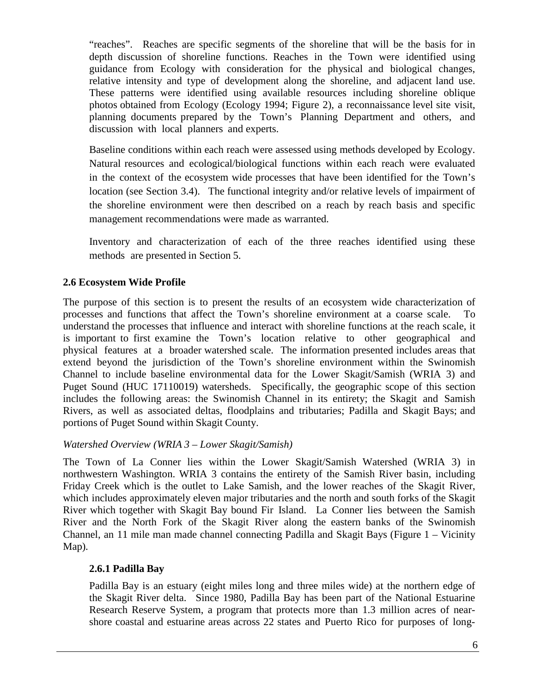"reaches". Reaches are specific segments of the shoreline that will be the basis for in depth discussion of shoreline functions. Reaches in the Town were identified using guidance from Ecology with consideration for the physical and biological changes, relative intensity and type of development along the shoreline, and adjacent land use. These patterns were identified using available resources including shoreline oblique photos obtained from Ecology (Ecology 1994; Figure 2), a reconnaissance level site visit, planning documents prepared by the Town's Planning Department and others, and discussion with local planners and experts.

Baseline conditions within each reach were assessed using methods developed by Ecology. Natural resources and ecological/biological functions within each reach were evaluated in the context of the ecosystem wide processes that have been identified for the Town's location (see Section 3.4). The functional integrity and/or relative levels of impairment of the shoreline environment were then described on a reach by reach basis and specific management recommendations were made as warranted.

Inventory and characterization of each of the three reaches identified using these methods are presented in Section 5.

### **2.6 Ecosystem Wide Profile**

The purpose of this section is to present the results of an ecosystem wide characterization of processes and functions that affect the Town's shoreline environment at a coarse scale. To understand the processes that influence and interact with shoreline functions at the reach scale, it is important to first examine the Town's location relative to other geographical and physical features at a broader watershed scale. The information presented includes areas that extend beyond the jurisdiction of the Town's shoreline environment within the Swinomish Channel to include baseline environmental data for the Lower Skagit/Samish (WRIA 3) and Puget Sound (HUC 17110019) watersheds. Specifically, the geographic scope of this section includes the following areas: the Swinomish Channel in its entirety; the Skagit and Samish Rivers, as well as associated deltas, floodplains and tributaries; Padilla and Skagit Bays; and portions of Puget Sound within Skagit County.

#### *Watershed Overview (WRIA 3 – Lower Skagit/Samish)*

The Town of La Conner lies within the Lower Skagit/Samish Watershed (WRIA 3) in northwestern Washington. WRIA 3 contains the entirety of the Samish River basin, including Friday Creek which is the outlet to Lake Samish, and the lower reaches of the Skagit River, which includes approximately eleven major tributaries and the north and south forks of the Skagit River which together with Skagit Bay bound Fir Island. La Conner lies between the Samish River and the North Fork of the Skagit River along the eastern banks of the Swinomish Channel, an 11 mile man made channel connecting Padilla and Skagit Bays (Figure 1 – Vicinity Map).

#### **2.6.1 Padilla Bay**

Padilla Bay is an estuary (eight miles long and three miles wide) at the northern edge of the Skagit River delta. Since 1980, Padilla Bay has been part of the National Estuarine Research Reserve System, a program that protects more than 1.3 million acres of nearshore coastal and estuarine areas across 22 states and Puerto Rico for purposes of long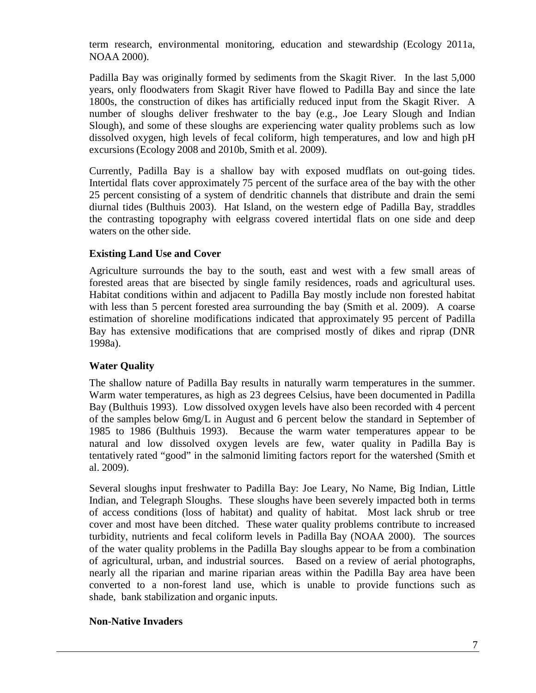term research, environmental monitoring, education and stewardship (Ecology 2011a, NOAA 2000).

Padilla Bay was originally formed by sediments from the Skagit River. In the last 5,000 years, only floodwaters from Skagit River have flowed to Padilla Bay and since the late 1800s, the construction of dikes has artificially reduced input from the Skagit River. A number of sloughs deliver freshwater to the bay (e.g., Joe Leary Slough and Indian Slough), and some of these sloughs are experiencing water quality problems such as low dissolved oxygen, high levels of fecal coliform, high temperatures, and low and high pH excursions (Ecology 2008 and 2010b, Smith et al. 2009).

Currently, Padilla Bay is a shallow bay with exposed mudflats on out-going tides. Intertidal flats cover approximately 75 percent of the surface area of the bay with the other 25 percent consisting of a system of dendritic channels that distribute and drain the semi diurnal tides (Bulthuis 2003). Hat Island, on the western edge of Padilla Bay, straddles the contrasting topography with eelgrass covered intertidal flats on one side and deep waters on the other side.

### **Existing Land Use and Cover**

Agriculture surrounds the bay to the south, east and west with a few small areas of forested areas that are bisected by single family residences, roads and agricultural uses. Habitat conditions within and adjacent to Padilla Bay mostly include non forested habitat with less than 5 percent forested area surrounding the bay (Smith et al. 2009). A coarse estimation of shoreline modifications indicated that approximately 95 percent of Padilla Bay has extensive modifications that are comprised mostly of dikes and riprap (DNR 1998a).

#### **Water Quality**

The shallow nature of Padilla Bay results in naturally warm temperatures in the summer. Warm water temperatures, as high as 23 degrees Celsius, have been documented in Padilla Bay (Bulthuis 1993). Low dissolved oxygen levels have also been recorded with 4 percent of the samples below 6mg/L in August and 6 percent below the standard in September of 1985 to 1986 (Bulthuis 1993). Because the warm water temperatures appear to be natural and low dissolved oxygen levels are few, water quality in Padilla Bay is tentatively rated "good" in the salmonid limiting factors report for the watershed (Smith et al. 2009).

Several sloughs input freshwater to Padilla Bay: Joe Leary, No Name, Big Indian, Little Indian, and Telegraph Sloughs. These sloughs have been severely impacted both in terms of access conditions (loss of habitat) and quality of habitat. Most lack shrub or tree cover and most have been ditched. These water quality problems contribute to increased turbidity, nutrients and fecal coliform levels in Padilla Bay (NOAA 2000). The sources of the water quality problems in the Padilla Bay sloughs appear to be from a combination of agricultural, urban, and industrial sources. Based on a review of aerial photographs, nearly all the riparian and marine riparian areas within the Padilla Bay area have been converted to a non-forest land use, which is unable to provide functions such as shade, bank stabilization and organic inputs.

#### **Non-Native Invaders**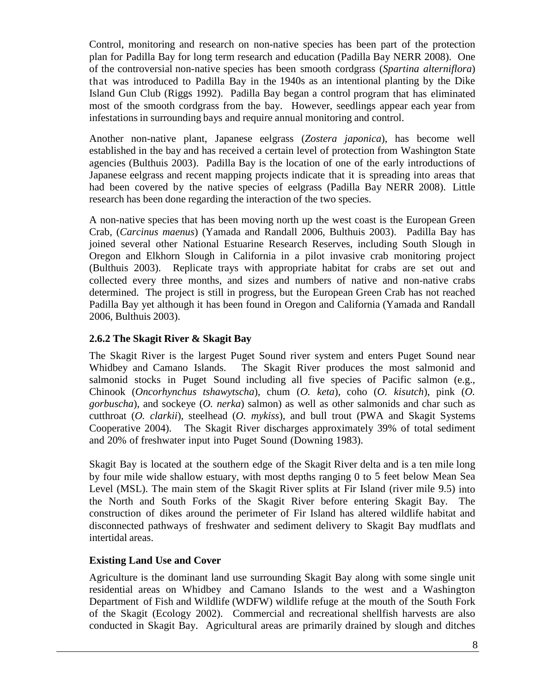Control, monitoring and research on non-native species has been part of the protection plan for Padilla Bay for long term research and education (Padilla Bay NERR 2008). One of the controversial non-native species has been smooth cordgrass (*Spartina alterniflora*) that was introduced to Padilla Bay in the 1940s as an intentional planting by the Dike Island Gun Club (Riggs 1992). Padilla Bay began a control program that has eliminated most of the smooth cordgrass from the bay. However, seedlings appear each year from infestations in surrounding bays and require annual monitoring and control.

Another non-native plant, Japanese eelgrass (*Zostera japonica*), has become well established in the bay and has received a certain level of protection from Washington State agencies (Bulthuis 2003). Padilla Bay is the location of one of the early introductions of Japanese eelgrass and recent mapping projects indicate that it is spreading into areas that had been covered by the native species of eelgrass (Padilla Bay NERR 2008). Little research has been done regarding the interaction of the two species.

A non-native species that has been moving north up the west coast is the European Green Crab, (*Carcinus maenus*) (Yamada and Randall 2006, Bulthuis 2003). Padilla Bay has joined several other National Estuarine Research Reserves, including South Slough in Oregon and Elkhorn Slough in California in a pilot invasive crab monitoring project (Bulthuis 2003). Replicate trays with appropriate habitat for crabs are set out and collected every three months, and sizes and numbers of native and non-native crabs determined. The project is still in progress, but the European Green Crab has not reached Padilla Bay yet although it has been found in Oregon and California (Yamada and Randall 2006, Bulthuis 2003).

### **2.6.2 The Skagit River & Skagit Bay**

The Skagit River is the largest Puget Sound river system and enters Puget Sound near Whidbey and Camano Islands. The Skagit River produces the most salmonid and salmonid stocks in Puget Sound including all five species of Pacific salmon (e.g., Chinook (*Oncorhynchus tshawytscha*), chum (*O. keta*), coho (*O. kisutch*), pink (*O. gorbuscha*), and sockeye (*O. nerka*) salmon) as well as other salmonids and char such as cutthroat (*O. clarkii*), steelhead (*O. mykiss*), and bull trout (PWA and Skagit Systems Cooperative 2004). The Skagit River discharges approximately 39% of total sediment and 20% of freshwater input into Puget Sound (Downing 1983).

Skagit Bay is located at the southern edge of the Skagit River delta and is a ten mile long by four mile wide shallow estuary, with most depths ranging 0 to 5 feet below Mean Sea Level (MSL). The main stem of the Skagit River splits at Fir Island (river mile 9.5) into the North and South Forks of the Skagit River before entering Skagit Bay. The construction of dikes around the perimeter of Fir Island has altered wildlife habitat and disconnected pathways of freshwater and sediment delivery to Skagit Bay mudflats and intertidal areas.

#### **Existing Land Use and Cover**

Agriculture is the dominant land use surrounding Skagit Bay along with some single unit residential areas on Whidbey and Camano Islands to the west and a Washington Department of Fish and Wildlife (WDFW) wildlife refuge at the mouth of the South Fork of the Skagit (Ecology 2002). Commercial and recreational shellfish harvests are also conducted in Skagit Bay. Agricultural areas are primarily drained by slough and ditches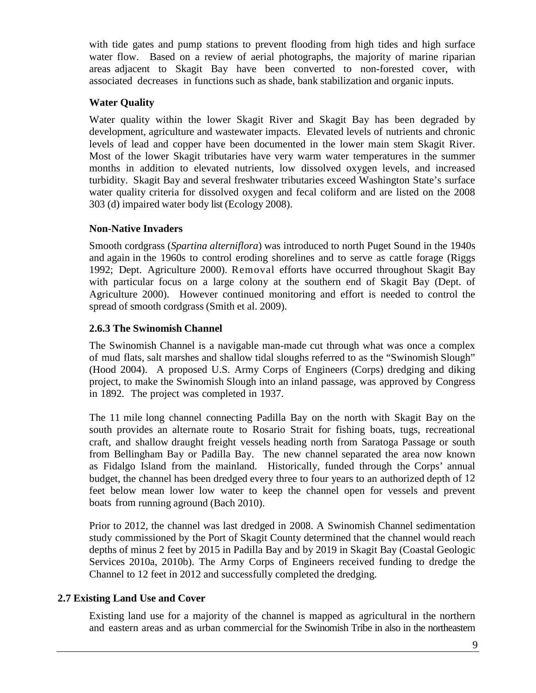with tide gates and pump stations to prevent flooding from high tides and high surface water flow. Based on a review of aerial photographs, the majority of marine riparian areas adjacent to Skagit Bay have been converted to non-forested cover, with associated decreases in functions such as shade, bank stabilization and organic inputs.

### **Water Quality**

Water quality within the lower Skagit River and Skagit Bay has been degraded by development, agriculture and wastewater impacts. Elevated levels of nutrients and chronic levels of lead and copper have been documented in the lower main stem Skagit River. Most of the lower Skagit tributaries have very warm water temperatures in the summer months in addition to elevated nutrients, low dissolved oxygen levels, and increased turbidity. Skagit Bay and several freshwater tributaries exceed Washington State's surface water quality criteria for dissolved oxygen and fecal coliform and are listed on the 2008 303 (d) impaired water body list (Ecology 2008).

### **Non-Native Invaders**

Smooth cordgrass (*Spartina alterniflora*) was introduced to north Puget Sound in the 1940s and again in the 1960s to control eroding shorelines and to serve as cattle forage (Riggs 1992; Dept. Agriculture 2000). Removal efforts have occurred throughout Skagit Bay with particular focus on a large colony at the southern end of Skagit Bay (Dept. of Agriculture 2000). However continued monitoring and effort is needed to control the spread of smooth cordgrass (Smith et al. 2009).

### **2.6.3 The Swinomish Channel**

The Swinomish Channel is a navigable man-made cut through what was once a complex of mud flats, salt marshes and shallow tidal sloughs referred to as the "Swinomish Slough" (Hood 2004). A proposed U.S. Army Corps of Engineers (Corps) dredging and diking project, to make the Swinomish Slough into an inland passage, was approved by Congress in 1892. The project was completed in 1937.

The 11 mile long channel connecting Padilla Bay on the north with Skagit Bay on the south provides an alternate route to Rosario Strait for fishing boats, tugs, recreational craft, and shallow draught freight vessels heading north from Saratoga Passage or south from Bellingham Bay or Padilla Bay. The new channel separated the area now known as Fidalgo Island from the mainland. Historically, funded through the Corps' annual budget, the channel has been dredged every three to four years to an authorized depth of 12 feet below mean lower low water to keep the channel open for vessels and prevent boats from running aground (Bach 2010).

Prior to 2012, the channel was last dredged in 2008. A Swinomish Channel sedimentation study commissioned by the Port of Skagit County determined that the channel would reach depths of minus 2 feet by 2015 in Padilla Bay and by 2019 in Skagit Bay (Coastal Geologic Services 2010a, 2010b). The Army Corps of Engineers received funding to dredge the Channel to 12 feet in 2012 and successfully completed the dredging.

### **2.7 Existing Land Use and Cover**

Existing land use for a majority of the channel is mapped as agricultural in the northern and eastern areas and as urban commercial for the Swinomish Tribe in also in the northeastern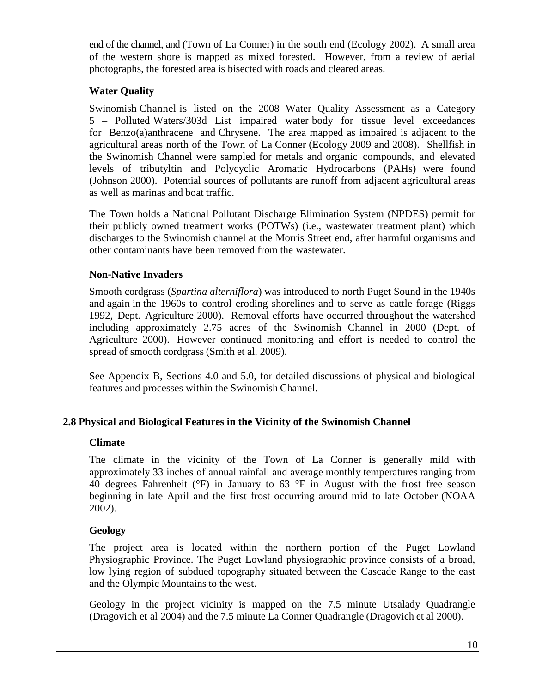end of the channel, and (Town of La Conner) in the south end (Ecology 2002). A small area of the western shore is mapped as mixed forested. However, from a review of aerial photographs, the forested area is bisected with roads and cleared areas.

### **Water Quality**

Swinomish Channel is listed on the 2008 Water Quality Assessment as a Category 5 – Polluted Waters/303d List impaired water body for tissue level exceedances for Benzo(a)anthracene and Chrysene. The area mapped as impaired is adjacent to the agricultural areas north of the Town of La Conner (Ecology 2009 and 2008). Shellfish in the Swinomish Channel were sampled for metals and organic compounds, and elevated levels of tributyltin and Polycyclic Aromatic Hydrocarbons (PAHs) were found (Johnson 2000). Potential sources of pollutants are runoff from adjacent agricultural areas as well as marinas and boat traffic.

The Town holds a National Pollutant Discharge Elimination System (NPDES) permit for their publicly owned treatment works (POTWs) (i.e., wastewater treatment plant) which discharges to the Swinomish channel at the Morris Street end, after harmful organisms and other contaminants have been removed from the wastewater.

#### **Non-Native Invaders**

Smooth cordgrass (*Spartina alterniflora*) was introduced to north Puget Sound in the 1940s and again in the 1960s to control eroding shorelines and to serve as cattle forage (Riggs 1992, Dept. Agriculture 2000). Removal efforts have occurred throughout the watershed including approximately 2.75 acres of the Swinomish Channel in 2000 (Dept. of Agriculture 2000). However continued monitoring and effort is needed to control the spread of smooth cordgrass (Smith et al. 2009).

See Appendix B, Sections 4.0 and 5.0, for detailed discussions of physical and biological features and processes within the Swinomish Channel.

#### **2.8 Physical and Biological Features in the Vicinity of the Swinomish Channel**

#### **Climate**

The climate in the vicinity of the Town of La Conner is generally mild with approximately 33 inches of annual rainfall and average monthly temperatures ranging from 40 degrees Fahrenheit (°F) in January to 63 °F in August with the frost free season beginning in late April and the first frost occurring around mid to late October (NOAA 2002).

#### **Geology**

The project area is located within the northern portion of the Puget Lowland Physiographic Province. The Puget Lowland physiographic province consists of a broad, low lying region of subdued topography situated between the Cascade Range to the east and the Olympic Mountains to the west.

Geology in the project vicinity is mapped on the 7.5 minute Utsalady Quadrangle (Dragovich et al 2004) and the 7.5 minute La Conner Quadrangle (Dragovich et al 2000).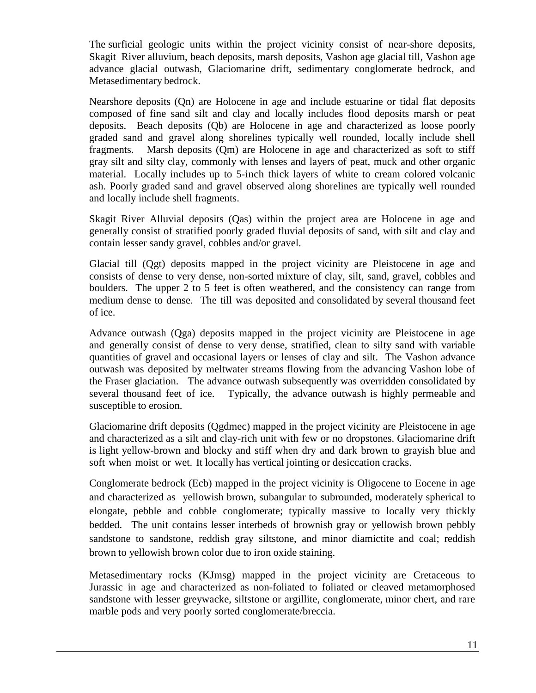The surficial geologic units within the project vicinity consist of near-shore deposits, Skagit River alluvium, beach deposits, marsh deposits, Vashon age glacial till, Vashon age advance glacial outwash, Glaciomarine drift, sedimentary conglomerate bedrock, and Metasedimentary bedrock.

Nearshore deposits (Qn) are Holocene in age and include estuarine or tidal flat deposits composed of fine sand silt and clay and locally includes flood deposits marsh or peat deposits. Beach deposits (Qb) are Holocene in age and characterized as loose poorly graded sand and gravel along shorelines typically well rounded, locally include shell fragments. Marsh deposits (Qm) are Holocene in age and characterized as soft to stiff gray silt and silty clay, commonly with lenses and layers of peat, muck and other organic material. Locally includes up to 5-inch thick layers of white to cream colored volcanic ash. Poorly graded sand and gravel observed along shorelines are typically well rounded and locally include shell fragments.

Skagit River Alluvial deposits (Qas) within the project area are Holocene in age and generally consist of stratified poorly graded fluvial deposits of sand, with silt and clay and contain lesser sandy gravel, cobbles and/or gravel.

Glacial till (Qgt) deposits mapped in the project vicinity are Pleistocene in age and consists of dense to very dense, non-sorted mixture of clay, silt, sand, gravel, cobbles and boulders. The upper 2 to 5 feet is often weathered, and the consistency can range from medium dense to dense. The till was deposited and consolidated by several thousand feet of ice.

Advance outwash (Qga) deposits mapped in the project vicinity are Pleistocene in age and generally consist of dense to very dense, stratified, clean to silty sand with variable quantities of gravel and occasional layers or lenses of clay and silt. The Vashon advance outwash was deposited by meltwater streams flowing from the advancing Vashon lobe of the Fraser glaciation. The advance outwash subsequently was overridden consolidated by several thousand feet of ice. Typically, the advance outwash is highly permeable and susceptible to erosion.

Glaciomarine drift deposits (Qgdmec) mapped in the project vicinity are Pleistocene in age and characterized as a silt and clay-rich unit with few or no dropstones. Glaciomarine drift is light yellow-brown and blocky and stiff when dry and dark brown to grayish blue and soft when moist or wet. It locally has vertical jointing or desiccation cracks.

Conglomerate bedrock (Ecb) mapped in the project vicinity is Oligocene to Eocene in age and characterized as yellowish brown, subangular to subrounded, moderately spherical to elongate, pebble and cobble conglomerate; typically massive to locally very thickly bedded. The unit contains lesser interbeds of brownish gray or yellowish brown pebbly sandstone to sandstone, reddish gray siltstone, and minor diamictite and coal; reddish brown to yellowish brown color due to iron oxide staining.

Metasedimentary rocks (KJmsg) mapped in the project vicinity are Cretaceous to Jurassic in age and characterized as non-foliated to foliated or cleaved metamorphosed sandstone with lesser greywacke, siltstone or argillite, conglomerate, minor chert, and rare marble pods and very poorly sorted conglomerate/breccia.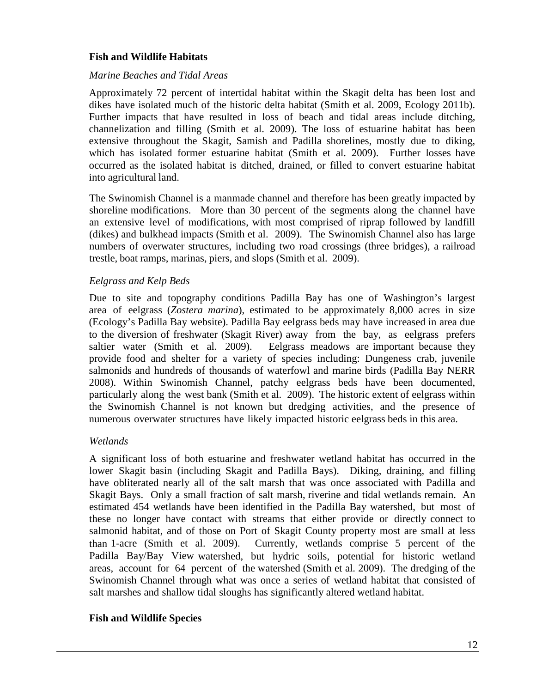#### **Fish and Wildlife Habitats**

#### *Marine Beaches and Tidal Areas*

Approximately 72 percent of intertidal habitat within the Skagit delta has been lost and dikes have isolated much of the historic delta habitat (Smith et al. 2009, Ecology 2011b). Further impacts that have resulted in loss of beach and tidal areas include ditching, channelization and filling (Smith et al. 2009). The loss of estuarine habitat has been extensive throughout the Skagit, Samish and Padilla shorelines, mostly due to diking, which has isolated former estuarine habitat (Smith et al. 2009). Further losses have occurred as the isolated habitat is ditched, drained, or filled to convert estuarine habitat into agricultural land.

The Swinomish Channel is a manmade channel and therefore has been greatly impacted by shoreline modifications. More than 30 percent of the segments along the channel have an extensive level of modifications, with most comprised of riprap followed by landfill (dikes) and bulkhead impacts (Smith et al. 2009). The Swinomish Channel also has large numbers of overwater structures, including two road crossings (three bridges), a railroad trestle, boat ramps, marinas, piers, and slops (Smith et al. 2009).

#### *Eelgrass and Kelp Beds*

Due to site and topography conditions Padilla Bay has one of Washington's largest area of eelgrass (*Zostera marina*), estimated to be approximately 8,000 acres in size (Ecology's Padilla Bay website). Padilla Bay eelgrass beds may have increased in area due to the diversion of freshwater (Skagit River) away from the bay, as eelgrass prefers saltier water (Smith et al. 2009). Eelgrass meadows are important because they provide food and shelter for a variety of species including: Dungeness crab, juvenile salmonids and hundreds of thousands of waterfowl and marine birds (Padilla Bay NERR 2008). Within Swinomish Channel, patchy eelgrass beds have been documented, particularly along the west bank (Smith et al. 2009). The historic extent of eelgrass within the Swinomish Channel is not known but dredging activities, and the presence of numerous overwater structures have likely impacted historic eelgrass beds in this area.

#### *Wetlands*

A significant loss of both estuarine and freshwater wetland habitat has occurred in the lower Skagit basin (including Skagit and Padilla Bays). Diking, draining, and filling have obliterated nearly all of the salt marsh that was once associated with Padilla and Skagit Bays. Only a small fraction of salt marsh, riverine and tidal wetlands remain. An estimated 454 wetlands have been identified in the Padilla Bay watershed, but most of these no longer have contact with streams that either provide or directly connect to salmonid habitat, and of those on Port of Skagit County property most are small at less than 1-acre (Smith et al. 2009). Currently, wetlands comprise 5 percent of the Padilla Bay/Bay View watershed, but hydric soils, potential for historic wetland areas, account for 64 percent of the watershed (Smith et al. 2009). The dredging of the Swinomish Channel through what was once a series of wetland habitat that consisted of salt marshes and shallow tidal sloughs has significantly altered wetland habitat.

#### **Fish and Wildlife Species**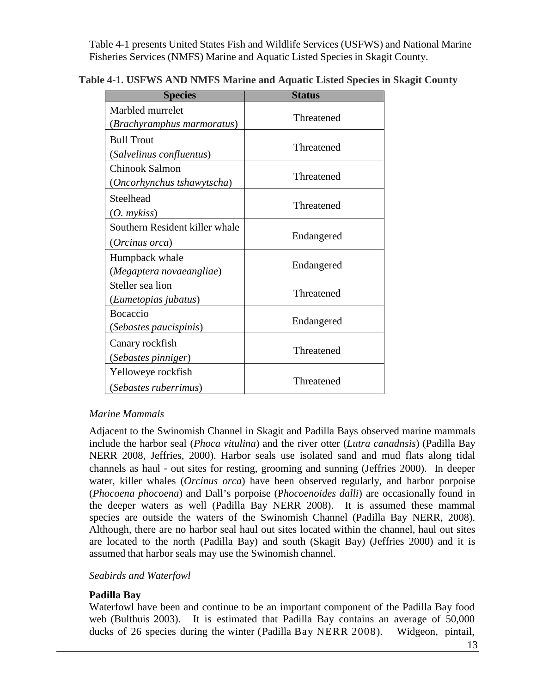Table 4-1 presents United States Fish and Wildlife Services (USFWS) and National Marine Fisheries Services (NMFS) Marine and Aquatic Listed Species in Skagit County.

| <b>Species</b>                                   | <b>Status</b> |  |  |
|--------------------------------------------------|---------------|--|--|
| Marbled murrelet<br>(Brachyramphus marmoratus)   | Threatened    |  |  |
| <b>Bull Trout</b><br>(Salvelinus confluentus)    | Threatened    |  |  |
| Chinook Salmon<br>(Oncorhynchus tshawytscha)     | Threatened    |  |  |
| Steelhead<br>$(O. \,$ mykiss $)$                 | Threatened    |  |  |
| Southern Resident killer whale<br>(Orcinus orca) | Endangered    |  |  |
| Humpback whale<br>(Megaptera novaeangliae)       | Endangered    |  |  |
| Steller sea lion<br>(Eumetopias jubatus)         | Threatened    |  |  |
| <b>Bocaccio</b><br>(Sebastes paucispinis)        | Endangered    |  |  |
| Canary rockfish<br>(Sebastes pinniger)           | Threatened    |  |  |
| Yelloweye rockfish<br>(Sebastes ruberrimus)      | Threatened    |  |  |

### **Table 4-1. USFWS AND NMFS Marine and Aquatic Listed Species in Skagit County**

#### *Marine Mammals*

Adjacent to the Swinomish Channel in Skagit and Padilla Bays observed marine mammals include the harbor seal (*Phoca vitulina*) and the river otter (*Lutra canadnsis*) (Padilla Bay NERR 2008, Jeffries, 2000). Harbor seals use isolated sand and mud flats along tidal channels as haul‐out sites for resting, grooming and sunning (Jeffries 2000). In deeper water, killer whales (*Orcinus orca*) have been observed regularly, and harbor porpoise (*Phocoena phocoena*) and Dall's porpoise (P*hocoenoides dalli*) are occasionally found in the deeper waters as well (Padilla Bay NERR 2008). It is assumed these mammal species are outside the waters of the Swinomish Channel (Padilla Bay NERR, 2008). Although, there are no harbor seal haul out sites located within the channel, haul out sites are located to the north (Padilla Bay) and south (Skagit Bay) (Jeffries 2000) and it is assumed that harbor seals may use the Swinomish channel.

#### *Seabirds and Waterfowl*

#### **Padilla Bay**

Waterfowl have been and continue to be an important component of the Padilla Bay food web (Bulthuis 2003). It is estimated that Padilla Bay contains an average of 50,000 ducks of 26 species during the winter (Padilla Bay NERR 2008). Widgeon, pintail,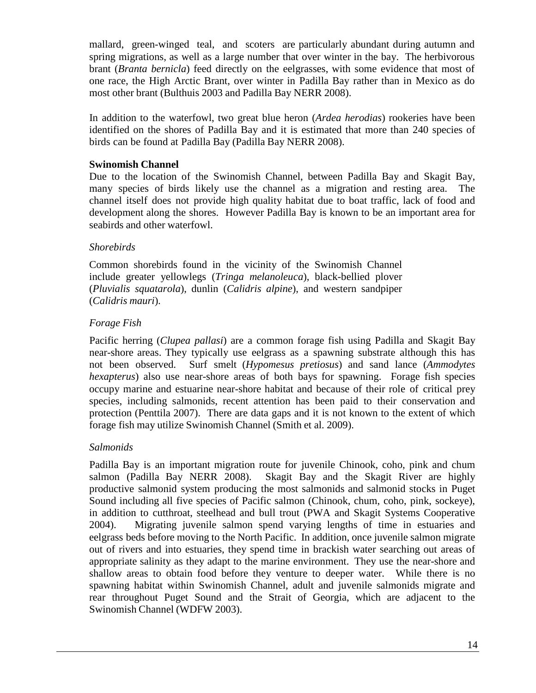mallard, green-winged teal, and scoters are particularly abundant during autumn and spring migrations, as well as a large number that over winter in the bay. The herbivorous brant (*Branta bernicla*) feed directly on the eelgrasses, with some evidence that most of one race, the High Arctic Brant, over winter in Padilla Bay rather than in Mexico as do most other brant (Bulthuis 2003 and Padilla Bay NERR 2008).

In addition to the waterfowl, two great blue heron (*Ardea herodias*) rookeries have been identified on the shores of Padilla Bay and it is estimated that more than 240 species of birds can be found at Padilla Bay (Padilla Bay NERR 2008).

#### **Swinomish Channel**

Due to the location of the Swinomish Channel, between Padilla Bay and Skagit Bay, many species of birds likely use the channel as a migration and resting area. The channel itself does not provide high quality habitat due to boat traffic, lack of food and development along the shores. However Padilla Bay is known to be an important area for seabirds and other waterfowl.

#### *Shorebirds*

Common shorebirds found in the vicinity of the Swinomish Channel include greater yellowlegs (*Tringa melanoleuca*), black-bellied plover (*Pluvialis squatarola*), dunlin (*Calidris alpine*), and western sandpiper (*Calidris mauri*).

#### *Forage Fish*

Pacific herring (*Clupea pallasi*) are a common forage fish using Padilla and Skagit Bay near-shore areas. They typically use eelgrass as a spawning substrate although this has not been observed. Surf smelt (*Hypomesus pretiosus*) and sand lance (*Ammodytes hexapterus*) also use near-shore areas of both bays for spawning. Forage fish species occupy marine and estuarine near-shore habitat and because of their role of critical prey species, including salmonids, recent attention has been paid to their conservation and protection (Penttila 2007). There are data gaps and it is not known to the extent of which forage fish may utilize Swinomish Channel (Smith et al. 2009).

#### *Salmonids*

Padilla Bay is an important migration route for juvenile Chinook, coho, pink and chum salmon (Padilla Bay NERR 2008). Skagit Bay and the Skagit River are highly productive salmonid system producing the most salmonids and salmonid stocks in Puget Sound including all five species of Pacific salmon (Chinook, chum, coho, pink, sockeye), in addition to cutthroat, steelhead and bull trout (PWA and Skagit Systems Cooperative 2004). Migrating juvenile salmon spend varying lengths of time in estuaries and eelgrass beds before moving to the North Pacific. In addition, once juvenile salmon migrate out of rivers and into estuaries, they spend time in brackish water searching out areas of appropriate salinity as they adapt to the marine environment. They use the near-shore and shallow areas to obtain food before they venture to deeper water. While there is no spawning habitat within Swinomish Channel, adult and juvenile salmonids migrate and rear throughout Puget Sound and the Strait of Georgia, which are adjacent to the Swinomish Channel (WDFW 2003).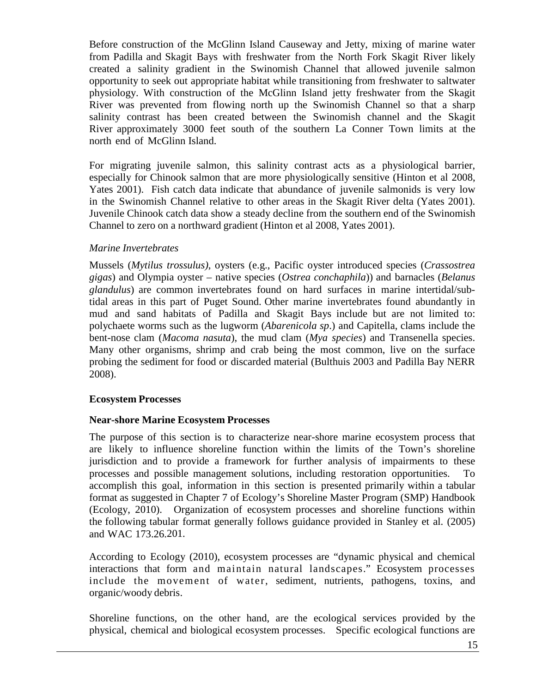Before construction of the McGlinn Island Causeway and Jetty, mixing of marine water from Padilla and Skagit Bays with freshwater from the North Fork Skagit River likely created a salinity gradient in the Swinomish Channel that allowed juvenile salmon opportunity to seek out appropriate habitat while transitioning from freshwater to saltwater physiology. With construction of the McGlinn Island jetty freshwater from the Skagit River was prevented from flowing north up the Swinomish Channel so that a sharp salinity contrast has been created between the Swinomish channel and the Skagit River approximately 3000 feet south of the southern La Conner Town limits at the north end of McGlinn Island.

For migrating juvenile salmon, this salinity contrast acts as a physiological barrier, especially for Chinook salmon that are more physiologically sensitive (Hinton et al 2008, Yates 2001). Fish catch data indicate that abundance of juvenile salmonids is very low in the Swinomish Channel relative to other areas in the Skagit River delta (Yates 2001). Juvenile Chinook catch data show a steady decline from the southern end of the Swinomish Channel to zero on a northward gradient (Hinton et al 2008, Yates 2001).

#### *Marine Invertebrates*

Mussels (*Mytilus trossulus)*, oysters (e.g., Pacific oyster introduced species (*Crassostrea gigas*) and Olympia oyster – native species (*Ostrea conchaphila*)) and barnacles (*Belanus glandulus*) are common invertebrates found on hard surfaces in marine intertidal/subtidal areas in this part of Puget Sound. Other marine invertebrates found abundantly in mud and sand habitats of Padilla and Skagit Bays include but are not limited to: polychaete worms such as the lugworm (*Abarenicola sp*.) and Capitella, clams include the bent-nose clam (*Macoma nasuta*), the mud clam (*Mya species*) and Transenella species. Many other organisms, shrimp and crab being the most common, live on the surface probing the sediment for food or discarded material (Bulthuis 2003 and Padilla Bay NERR 2008).

#### **Ecosystem Processes**

#### **Near-shore Marine Ecosystem Processes**

The purpose of this section is to characterize near-shore marine ecosystem process that are likely to influence shoreline function within the limits of the Town's shoreline jurisdiction and to provide a framework for further analysis of impairments to these processes and possible management solutions, including restoration opportunities. accomplish this goal, information in this section is presented primarily within a tabular format as suggested in Chapter 7 of Ecology's Shoreline Master Program (SMP) Handbook (Ecology, 2010). Organization of ecosystem processes and shoreline functions within the following tabular format generally follows guidance provided in Stanley et al. (2005) and WAC 173.26.201.

According to Ecology (2010), ecosystem processes are "dynamic physical and chemical interactions that form and maintain natural landscapes." Ecosystem processes include the movement of water, sediment, nutrients, pathogens, toxins, and organic/woody debris.

Shoreline functions, on the other hand, are the ecological services provided by the physical, chemical and biological ecosystem processes. Specific ecological functions are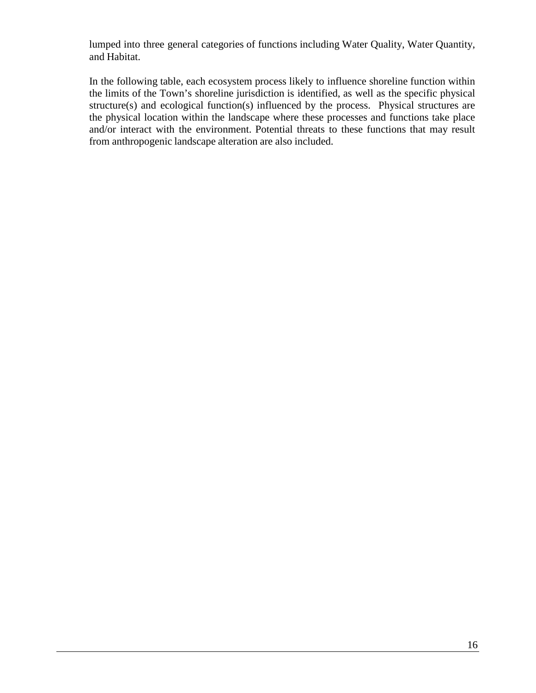lumped into three general categories of functions including Water Quality, Water Quantity, and Habitat.

In the following table, each ecosystem process likely to influence shoreline function within the limits of the Town's shoreline jurisdiction is identified, as well as the specific physical structure(s) and ecological function(s) influenced by the process. Physical structures are the physical location within the landscape where these processes and functions take place and/or interact with the environment. Potential threats to these functions that may result from anthropogenic landscape alteration are also included.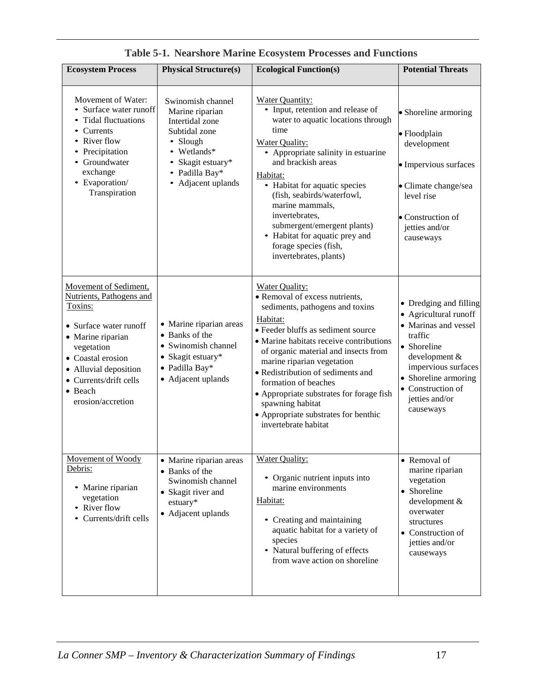| <b>Ecosystem Process</b>                                                                                                                                                                                                          | <b>Physical Structure(s)</b>                                                                                                                                        | <b>Ecological Function(s)</b>                                                                                                                                                                                                                                                                                                                                                                                                                              | <b>Potential Threats</b>                                                                                                                                                                                              |
|-----------------------------------------------------------------------------------------------------------------------------------------------------------------------------------------------------------------------------------|---------------------------------------------------------------------------------------------------------------------------------------------------------------------|------------------------------------------------------------------------------------------------------------------------------------------------------------------------------------------------------------------------------------------------------------------------------------------------------------------------------------------------------------------------------------------------------------------------------------------------------------|-----------------------------------------------------------------------------------------------------------------------------------------------------------------------------------------------------------------------|
| Movement of Water:<br>Surface water runoff<br><b>Tidal fluctuations</b><br>Currents<br>River flow<br>Precipitation<br>Groundwater<br>exchange<br>• Evaporation/<br>Transpiration                                                  | Swinomish channel<br>Marine riparian<br>Intertidal zone<br>Subtidal zone<br>Slough<br>Wetlands*<br>Skagit estuary*<br>Padilla Bay*<br>$\bullet$<br>Adjacent uplands | <b>Water Quantity:</b><br>• Input, retention and release of<br>water to aquatic locations through<br>time<br><b>Water Quality:</b><br>• Appropriate salinity in estuarine<br>and brackish areas<br>Habitat:<br>• Habitat for aquatic species<br>(fish, seabirds/waterfowl,<br>marine mammals,<br>invertebrates,<br>submergent/emergent plants)<br>• Habitat for aquatic prey and<br>forage species (fish,<br>invertebrates, plants)                        | • Shoreline armoring<br>· Floodplain<br>development<br>• Impervious surfaces<br>· Climate change/sea<br>level rise<br>• Construction of<br>jetties and/or<br>causeways                                                |
| Movement of Sediment,<br>Nutrients, Pathogens and<br>Toxins:<br>• Surface water runoff<br>• Marine riparian<br>vegetation<br>• Coastal erosion<br>• Alluvial deposition<br>• Currents/drift cells<br>• Beach<br>erosion/accretion | • Marine riparian areas<br>• Banks of the<br>• Swinomish channel<br>• Skagit estuary*<br>· Padilla Bay*<br>• Adjacent uplands                                       | <b>Water Quality:</b><br>• Removal of excess nutrients,<br>sediments, pathogens and toxins<br>Habitat:<br>· Feeder bluffs as sediment source<br>• Marine habitats receive contributions<br>of organic material and insects from<br>marine riparian vegetation<br>• Redistribution of sediments and<br>formation of beaches<br>• Appropriate substrates for forage fish<br>spawning habitat<br>• Appropriate substrates for benthic<br>invertebrate habitat | • Dredging and filling<br>• Agricultural runoff<br>• Marinas and vessel<br>traffic<br>• Shoreline<br>development &<br>impervious surfaces<br>• Shoreline armoring<br>• Construction of<br>jetties and/or<br>causeways |
| Movement of Woody<br>Debris:<br>• Marine riparian<br>vegetation<br>• River flow<br>Currents/drift cells                                                                                                                           | • Marine riparian areas<br>• Banks of the<br>Swinomish channel<br>• Skagit river and<br>estuary*<br>• Adjacent uplands                                              | <b>Water Quality:</b><br>• Organic nutrient inputs into<br>marine environments<br>Habitat:<br>• Creating and maintaining<br>aquatic habitat for a variety of<br>species<br>• Natural buffering of effects<br>from wave action on shoreline                                                                                                                                                                                                                 | • Removal of<br>marine riparian<br>vegetation<br>• Shoreline<br>development &<br>overwater<br>structures<br>• Construction of<br>jetties and/or<br>causeways                                                          |

|  |  |  |  |  | Table 5-1. Nearshore Marine Ecosystem Processes and Functions |
|--|--|--|--|--|---------------------------------------------------------------|
|--|--|--|--|--|---------------------------------------------------------------|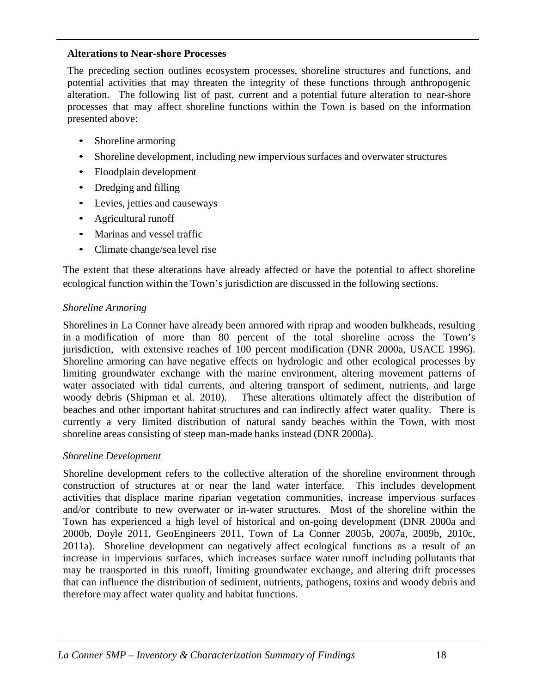#### **Alterations to Near-shore Processes**

The preceding section outlines ecosystem processes, shoreline structures and functions, and potential activities that may threaten the integrity of these functions through anthropogenic alteration. The following list of past, current and a potential future alteration to near-shore processes that may affect shoreline functions within the Town is based on the information presented above:

- Shoreline armoring
- Shoreline development, including new impervious surfaces and overwater structures
- Floodplain development
- Dredging and filling
- Levies, jetties and causeways
- Agricultural runoff
- Marinas and vessel traffic
- Climate change/sea level rise

The extent that these alterations have already affected or have the potential to affect shoreline ecological function within the Town's jurisdiction are discussed in the following sections.

#### *Shoreline Armoring*

Shorelines in La Conner have already been armored with riprap and wooden bulkheads, resulting in a modification of more than 80 percent of the total shoreline across the Town's jurisdiction, with extensive reaches of 100 percent modification (DNR 2000a, USACE 1996). Shoreline armoring can have negative effects on hydrologic and other ecological processes by limiting groundwater exchange with the marine environment, altering movement patterns of water associated with tidal currents, and altering transport of sediment, nutrients, and large woody debris (Shipman et al. 2010). These alterations ultimately affect the distribution of These alterations ultimately affect the distribution of beaches and other important habitat structures and can indirectly affect water quality. There is currently a very limited distribution of natural sandy beaches within the Town, with most shoreline areas consisting of steep man-made banks instead (DNR 2000a).

#### *Shoreline Development*

Shoreline development refers to the collective alteration of the shoreline environment through construction of structures at or near the land water interface. This includes development activities that displace marine riparian vegetation communities, increase impervious surfaces and/or contribute to new overwater or in-water structures. Most of the shoreline within the Town has experienced a high level of historical and on-going development (DNR 2000a and 2000b, Doyle 2011, GeoEngineers 2011, Town of La Conner 2005b, 2007a, 2009b, 2010c, 2011a). Shoreline development can negatively affect ecological functions as a result of an increase in impervious surfaces, which increases surface water runoff including pollutants that may be transported in this runoff, limiting groundwater exchange, and altering drift processes that can influence the distribution of sediment, nutrients, pathogens, toxins and woody debris and therefore may affect water quality and habitat functions.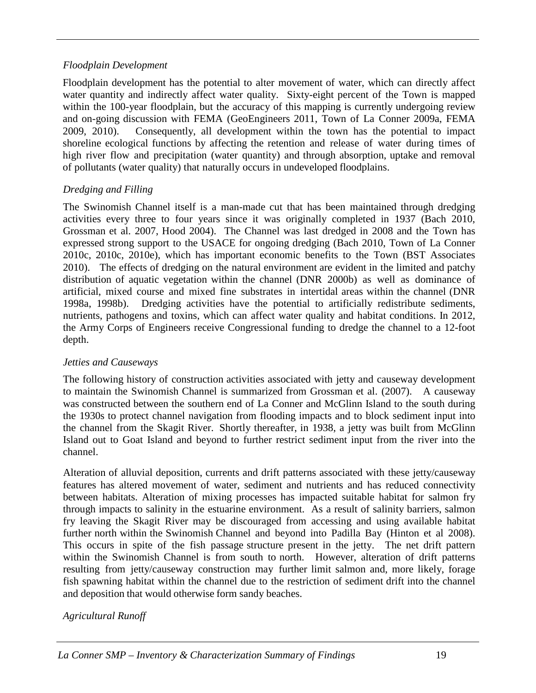#### *Floodplain Development*

Floodplain development has the potential to alter movement of water, which can directly affect water quantity and indirectly affect water quality. Sixty-eight percent of the Town is mapped within the 100-year floodplain, but the accuracy of this mapping is currently undergoing review and on-going discussion with FEMA (GeoEngineers 2011, Town of La Conner 2009a, FEMA 2009, 2010). Consequently, all development within the town has the potential to impact shoreline ecological functions by affecting the retention and release of water during times of high river flow and precipitation (water quantity) and through absorption, uptake and removal of pollutants (water quality) that naturally occurs in undeveloped floodplains.

### *Dredging and Filling*

The Swinomish Channel itself is a man-made cut that has been maintained through dredging activities every three to four years since it was originally completed in 1937 (Bach 2010, Grossman et al. 2007, Hood 2004). The Channel was last dredged in 2008 and the Town has expressed strong support to the USACE for ongoing dredging (Bach 2010, Town of La Conner 2010c, 2010c, 2010e), which has important economic benefits to the Town (BST Associates 2010). The effects of dredging on the natural environment are evident in the limited and patchy distribution of aquatic vegetation within the channel (DNR 2000b) as well as dominance of artificial, mixed course and mixed fine substrates in intertidal areas within the channel (DNR 1998a, 1998b). Dredging activities have the potential to artificially redistribute sediments, nutrients, pathogens and toxins, which can affect water quality and habitat conditions. In 2012, the Army Corps of Engineers receive Congressional funding to dredge the channel to a 12-foot depth.

#### *Jetties and Causeways*

The following history of construction activities associated with jetty and causeway development to maintain the Swinomish Channel is summarized from Grossman et al. (2007). A causeway was constructed between the southern end of La Conner and McGlinn Island to the south during the 1930s to protect channel navigation from flooding impacts and to block sediment input into the channel from the Skagit River. Shortly thereafter, in 1938, a jetty was built from McGlinn Island out to Goat Island and beyond to further restrict sediment input from the river into the channel.

Alteration of alluvial deposition, currents and drift patterns associated with these jetty/causeway features has altered movement of water, sediment and nutrients and has reduced connectivity between habitats. Alteration of mixing processes has impacted suitable habitat for salmon fry through impacts to salinity in the estuarine environment. As a result of salinity barriers, salmon fry leaving the Skagit River may be discouraged from accessing and using available habitat further north within the Swinomish Channel and beyond into Padilla Bay (Hinton et al 2008). This occurs in spite of the fish passage structure present in the jetty. The net drift pattern within the Swinomish Channel is from south to north. However, alteration of drift patterns resulting from jetty/causeway construction may further limit salmon and, more likely, forage fish spawning habitat within the channel due to the restriction of sediment drift into the channel and deposition that would otherwise form sandy beaches.

### *Agricultural Runoff*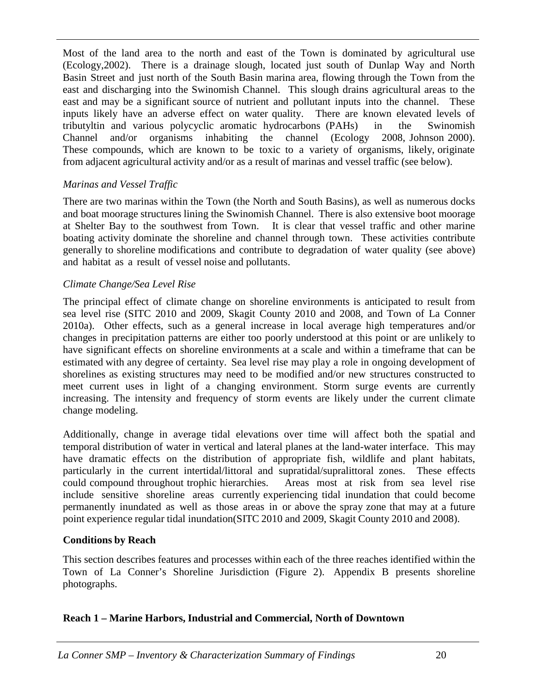Most of the land area to the north and east of the Town is dominated by agricultural use (Ecology,2002). There is a drainage slough, located just south of Dunlap Way and North Basin Street and just north of the South Basin marina area, flowing through the Town from the east and discharging into the Swinomish Channel. This slough drains agricultural areas to the east and may be a significant source of nutrient and pollutant inputs into the channel. These inputs likely have an adverse effect on water quality. There are known elevated levels of tributyltin and various polycyclic aromatic hydrocarbons (PAHs) in the Swinomish Channel and/or organisms inhabiting the channel (Ecology 2008, Johnson 2000). These compounds, which are known to be toxic to a variety of organisms, likely, originate from adjacent agricultural activity and/or as a result of marinas and vessel traffic (see below).

#### *Marinas and Vessel Traffic*

There are two marinas within the Town (the North and South Basins), as well as numerous docks and boat moorage structures lining the Swinomish Channel. There is also extensive boot moorage at Shelter Bay to the southwest from Town. It is clear that vessel traffic and other marine boating activity dominate the shoreline and channel through town. These activities contribute generally to shoreline modifications and contribute to degradation of water quality (see above) and habitat as a result of vessel noise and pollutants.

#### *Climate Change/Sea Level Rise*

The principal effect of climate change on shoreline environments is anticipated to result from sea level rise (SITC 2010 and 2009, Skagit County 2010 and 2008, and Town of La Conner 2010a). Other effects, such as a general increase in local average high temperatures and/or changes in precipitation patterns are either too poorly understood at this point or are unlikely to have significant effects on shoreline environments at a scale and within a timeframe that can be estimated with any degree of certainty. Sea level rise may play a role in ongoing development of shorelines as existing structures may need to be modified and/or new structures constructed to meet current uses in light of a changing environment. Storm surge events are currently increasing. The intensity and frequency of storm events are likely under the current climate change modeling.

Additionally, change in average tidal elevations over time will affect both the spatial and temporal distribution of water in vertical and lateral planes at the land-water interface. This may have dramatic effects on the distribution of appropriate fish, wildlife and plant habitats, particularly in the current intertidal/littoral and supratidal/supralittoral zones. These effects could compound throughout trophic hierarchies. Areas most at risk from sea level rise include sensitive shoreline areas currently experiencing tidal inundation that could become permanently inundated as well as those areas in or above the spray zone that may at a future point experience regular tidal inundation(SITC 2010 and 2009, Skagit County 2010 and 2008).

#### **Conditions by Reach**

This section describes features and processes within each of the three reaches identified within the Town of La Conner's Shoreline Jurisdiction (Figure 2). Appendix B presents shoreline photographs.

### **Reach 1 – Marine Harbors, Industrial and Commercial, North of Downtown**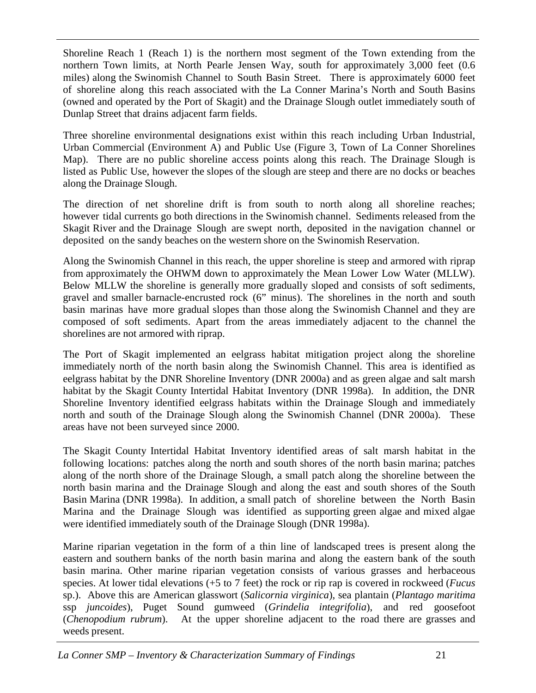Shoreline Reach 1 (Reach 1) is the northern most segment of the Town extending from the northern Town limits, at North Pearle Jensen Way, south for approximately 3,000 feet (0.6 miles) along the Swinomish Channel to South Basin Street. There is approximately 6000 feet of shoreline along this reach associated with the La Conner Marina's North and South Basins (owned and operated by the Port of Skagit) and the Drainage Slough outlet immediately south of Dunlap Street that drains adjacent farm fields.

Three shoreline environmental designations exist within this reach including Urban Industrial, Urban Commercial (Environment A) and Public Use (Figure 3, Town of La Conner Shorelines Map). There are no public shoreline access points along this reach. The Drainage Slough is listed as Public Use, however the slopes of the slough are steep and there are no docks or beaches along the Drainage Slough.

The direction of net shoreline drift is from south to north along all shoreline reaches; however tidal currents go both directions in the Swinomish channel. Sediments released from the Skagit River and the Drainage Slough are swept north, deposited in the navigation channel or deposited on the sandy beaches on the western shore on the Swinomish Reservation.

Along the Swinomish Channel in this reach, the upper shoreline is steep and armored with riprap from approximately the OHWM down to approximately the Mean Lower Low Water (MLLW). Below MLLW the shoreline is generally more gradually sloped and consists of soft sediments, gravel and smaller barnacle-encrusted rock (6" minus). The shorelines in the north and south basin marinas have more gradual slopes than those along the Swinomish Channel and they are composed of soft sediments. Apart from the areas immediately adjacent to the channel the shorelines are not armored with riprap.

The Port of Skagit implemented an eelgrass habitat mitigation project along the shoreline immediately north of the north basin along the Swinomish Channel. This area is identified as eelgrass habitat by the DNR Shoreline Inventory (DNR 2000a) and as green algae and salt marsh habitat by the Skagit County Intertidal Habitat Inventory (DNR 1998a). In addition, the DNR Shoreline Inventory identified eelgrass habitats within the Drainage Slough and immediately north and south of the Drainage Slough along the Swinomish Channel (DNR 2000a). These areas have not been surveyed since 2000.

The Skagit County Intertidal Habitat Inventory identified areas of salt marsh habitat in the following locations: patches along the north and south shores of the north basin marina; patches along of the north shore of the Drainage Slough, a small patch along the shoreline between the north basin marina and the Drainage Slough and along the east and south shores of the South Basin Marina (DNR 1998a). In addition, a small patch of shoreline between the North Basin Marina and the Drainage Slough was identified as supporting green algae and mixed algae were identified immediately south of the Drainage Slough (DNR 1998a).

Marine riparian vegetation in the form of a thin line of landscaped trees is present along the eastern and southern banks of the north basin marina and along the eastern bank of the south basin marina. Other marine riparian vegetation consists of various grasses and herbaceous species. At lower tidal elevations (+5 to 7 feet) the rock or rip rap is covered in rockweed (*Fucus* sp.). Above this are American glasswort (*Salicornia virginica*), sea plantain (*Plantago maritima* ssp *juncoides*), Puget Sound gumweed (*Grindelia integrifolia*), and red goosefoot (*Chenopodium rubrum*). At the upper shoreline adjacent to the road there are grasses and weeds present.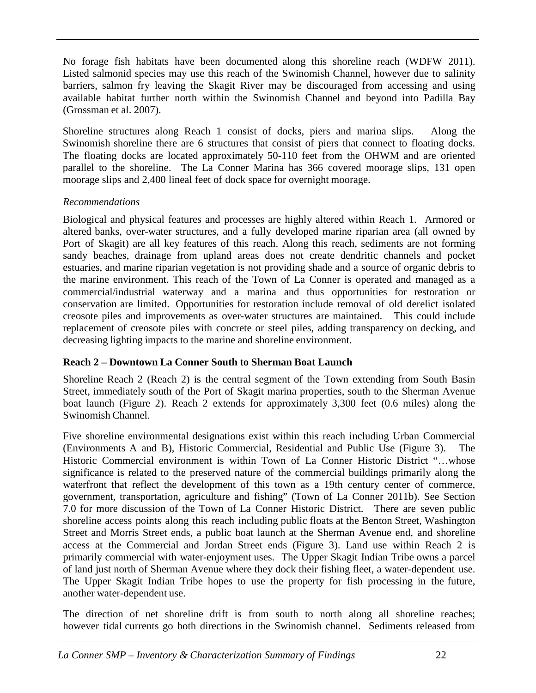No forage fish habitats have been documented along this shoreline reach (WDFW 2011). Listed salmonid species may use this reach of the Swinomish Channel, however due to salinity barriers, salmon fry leaving the Skagit River may be discouraged from accessing and using available habitat further north within the Swinomish Channel and beyond into Padilla Bay (Grossman et al. 2007).

Shoreline structures along Reach 1 consist of docks, piers and marina slips. Along the Swinomish shoreline there are 6 structures that consist of piers that connect to floating docks. The floating docks are located approximately 50-110 feet from the OHWM and are oriented parallel to the shoreline. The La Conner Marina has 366 covered moorage slips, 131 open moorage slips and 2,400 lineal feet of dock space for overnight moorage.

### *Recommendations*

Biological and physical features and processes are highly altered within Reach 1. Armored or altered banks, over-water structures, and a fully developed marine riparian area (all owned by Port of Skagit) are all key features of this reach. Along this reach, sediments are not forming sandy beaches, drainage from upland areas does not create dendritic channels and pocket estuaries, and marine riparian vegetation is not providing shade and a source of organic debris to the marine environment. This reach of the Town of La Conner is operated and managed as a commercial/industrial waterway and a marina and thus opportunities for restoration or conservation are limited. Opportunities for restoration include removal of old derelict isolated creosote piles and improvements as over-water structures are maintained. This could include replacement of creosote piles with concrete or steel piles, adding transparency on decking, and decreasing lighting impacts to the marine and shoreline environment.

### **Reach 2 – Downtown La Conner South to Sherman Boat Launch**

Shoreline Reach 2 (Reach 2) is the central segment of the Town extending from South Basin Street, immediately south of the Port of Skagit marina properties, south to the Sherman Avenue boat launch (Figure 2). Reach 2 extends for approximately 3,300 feet (0.6 miles) along the Swinomish Channel.

Five shoreline environmental designations exist within this reach including Urban Commercial (Environments A and B), Historic Commercial, Residential and Public Use (Figure 3). The Historic Commercial environment is within Town of La Conner Historic District "…whose significance is related to the preserved nature of the commercial buildings primarily along the waterfront that reflect the development of this town as a 19th century center of commerce, government, transportation, agriculture and fishing" (Town of La Conner 2011b). See Section 7.0 for more discussion of the Town of La Conner Historic District. There are seven public shoreline access points along this reach including public floats at the Benton Street, Washington Street and Morris Street ends, a public boat launch at the Sherman Avenue end, and shoreline access at the Commercial and Jordan Street ends (Figure 3). Land use within Reach 2 is primarily commercial with water-enjoyment uses. The Upper Skagit Indian Tribe owns a parcel of land just north of Sherman Avenue where they dock their fishing fleet, a water-dependent use. The Upper Skagit Indian Tribe hopes to use the property for fish processing in the future, another water-dependent use.

The direction of net shoreline drift is from south to north along all shoreline reaches; however tidal currents go both directions in the Swinomish channel. Sediments released from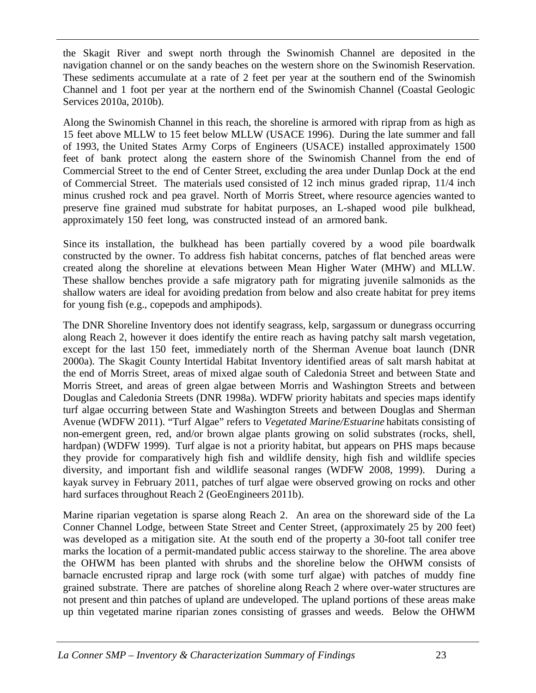the Skagit River and swept north through the Swinomish Channel are deposited in the navigation channel or on the sandy beaches on the western shore on the Swinomish Reservation. These sediments accumulate at a rate of 2 feet per year at the southern end of the Swinomish Channel and 1 foot per year at the northern end of the Swinomish Channel (Coastal Geologic Services 2010a, 2010b).

Along the Swinomish Channel in this reach, the shoreline is armored with riprap from as high as 15 feet above MLLW to 15 feet below MLLW (USACE 1996). During the late summer and fall of 1993, the United States Army Corps of Engineers (USACE) installed approximately 1500 feet of bank protect along the eastern shore of the Swinomish Channel from the end of Commercial Street to the end of Center Street, excluding the area under Dunlap Dock at the end of Commercial Street. The materials used consisted of 12 inch minus graded riprap, 11/4 inch minus crushed rock and pea gravel. North of Morris Street, where resource agencies wanted to preserve fine grained mud substrate for habitat purposes, an L-shaped wood pile bulkhead, approximately 150 feet long, was constructed instead of an armored bank.

Since its installation, the bulkhead has been partially covered by a wood pile boardwalk constructed by the owner. To address fish habitat concerns, patches of flat benched areas were created along the shoreline at elevations between Mean Higher Water (MHW) and MLLW. These shallow benches provide a safe migratory path for migrating juvenile salmonids as the shallow waters are ideal for avoiding predation from below and also create habitat for prey items for young fish (e.g., copepods and amphipods).

The DNR Shoreline Inventory does not identify seagrass, kelp, sargassum or dunegrass occurring along Reach 2, however it does identify the entire reach as having patchy salt marsh vegetation, except for the last 150 feet, immediately north of the Sherman Avenue boat launch (DNR 2000a). The Skagit County Intertidal Habitat Inventory identified areas of salt marsh habitat at the end of Morris Street, areas of mixed algae south of Caledonia Street and between State and Morris Street, and areas of green algae between Morris and Washington Streets and between Douglas and Caledonia Streets (DNR 1998a). WDFW priority habitats and species maps identify turf algae occurring between State and Washington Streets and between Douglas and Sherman Avenue (WDFW 2011). "Turf Algae" refers to *Vegetated Marine/Estuarine* habitats consisting of non-emergent green, red, and/or brown algae plants growing on solid substrates (rocks, shell, hardpan) (WDFW 1999). Turf algae is not a priority habitat, but appears on PHS maps because they provide for comparatively high fish and wildlife density, high fish and wildlife species diversity, and important fish and wildlife seasonal ranges (WDFW 2008, 1999). During a kayak survey in February 2011, patches of turf algae were observed growing on rocks and other hard surfaces throughout Reach 2 (GeoEngineers 2011b).

Marine riparian vegetation is sparse along Reach 2. An area on the shoreward side of the La Conner Channel Lodge, between State Street and Center Street, (approximately 25 by 200 feet) was developed as a mitigation site. At the south end of the property a 30-foot tall conifer tree marks the location of a permit-mandated public access stairway to the shoreline. The area above the OHWM has been planted with shrubs and the shoreline below the OHWM consists of barnacle encrusted riprap and large rock (with some turf algae) with patches of muddy fine grained substrate. There are patches of shoreline along Reach 2 where over-water structures are not present and thin patches of upland are undeveloped. The upland portions of these areas make up thin vegetated marine riparian zones consisting of grasses and weeds. Below the OHWM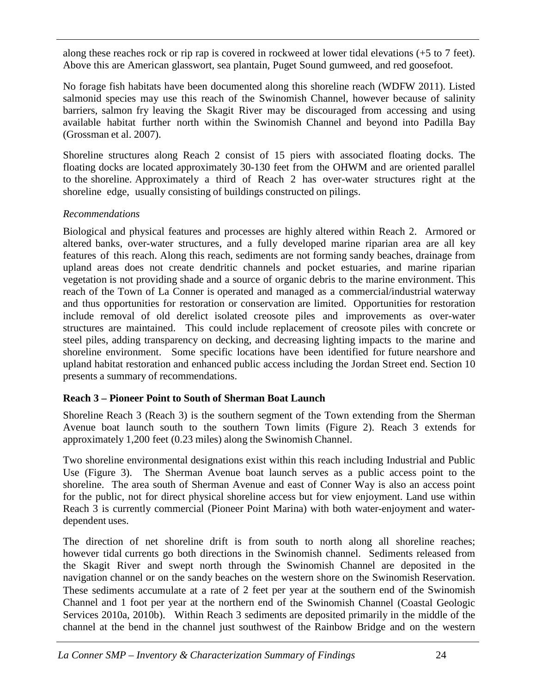along these reaches rock or rip rap is covered in rockweed at lower tidal elevations (+5 to 7 feet). Above this are American glasswort, sea plantain, Puget Sound gumweed, and red goosefoot.

No forage fish habitats have been documented along this shoreline reach (WDFW 2011). Listed salmonid species may use this reach of the Swinomish Channel, however because of salinity barriers, salmon fry leaving the Skagit River may be discouraged from accessing and using available habitat further north within the Swinomish Channel and beyond into Padilla Bay (Grossman et al. 2007).

Shoreline structures along Reach 2 consist of 15 piers with associated floating docks. The floating docks are located approximately 30-130 feet from the OHWM and are oriented parallel to the shoreline. Approximately a third of Reach 2 has over-water structures right at the shoreline edge, usually consisting of buildings constructed on pilings.

### *Recommendations*

Biological and physical features and processes are highly altered within Reach 2. Armored or altered banks, over-water structures, and a fully developed marine riparian area are all key features of this reach. Along this reach, sediments are not forming sandy beaches, drainage from upland areas does not create dendritic channels and pocket estuaries, and marine riparian vegetation is not providing shade and a source of organic debris to the marine environment. This reach of the Town of La Conner is operated and managed as a commercial/industrial waterway and thus opportunities for restoration or conservation are limited. Opportunities for restoration include removal of old derelict isolated creosote piles and improvements as over-water structures are maintained. This could include replacement of creosote piles with concrete or steel piles, adding transparency on decking, and decreasing lighting impacts to the marine and shoreline environment. Some specific locations have been identified for future nearshore and upland habitat restoration and enhanced public access including the Jordan Street end. Section 10 presents a summary of recommendations.

### **Reach 3 – Pioneer Point to South of Sherman Boat Launch**

Shoreline Reach 3 (Reach 3) is the southern segment of the Town extending from the Sherman Avenue boat launch south to the southern Town limits (Figure 2). Reach 3 extends for approximately 1,200 feet (0.23 miles) along the Swinomish Channel.

Two shoreline environmental designations exist within this reach including Industrial and Public Use (Figure 3). The Sherman Avenue boat launch serves as a public access point to the shoreline. The area south of Sherman Avenue and east of Conner Way is also an access point for the public, not for direct physical shoreline access but for view enjoyment. Land use within Reach 3 is currently commercial (Pioneer Point Marina) with both water-enjoyment and waterdependent uses.

The direction of net shoreline drift is from south to north along all shoreline reaches; however tidal currents go both directions in the Swinomish channel. Sediments released from the Skagit River and swept north through the Swinomish Channel are deposited in the navigation channel or on the sandy beaches on the western shore on the Swinomish Reservation. These sediments accumulate at a rate of 2 feet per year at the southern end of the Swinomish Channel and 1 foot per year at the northern end of the Swinomish Channel (Coastal Geologic Services 2010a, 2010b). Within Reach 3 sediments are deposited primarily in the middle of the channel at the bend in the channel just southwest of the Rainbow Bridge and on the western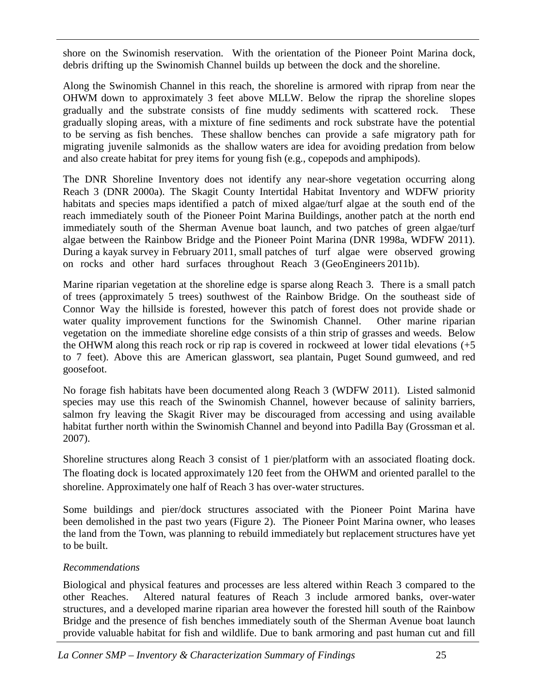shore on the Swinomish reservation. With the orientation of the Pioneer Point Marina dock, debris drifting up the Swinomish Channel builds up between the dock and the shoreline.

Along the Swinomish Channel in this reach, the shoreline is armored with riprap from near the OHWM down to approximately 3 feet above MLLW. Below the riprap the shoreline slopes gradually and the substrate consists of fine muddy sediments with scattered rock. These gradually sloping areas, with a mixture of fine sediments and rock substrate have the potential to be serving as fish benches. These shallow benches can provide a safe migratory path for migrating juvenile salmonids as the shallow waters are idea for avoiding predation from below and also create habitat for prey items for young fish (e.g., copepods and amphipods).

The DNR Shoreline Inventory does not identify any near-shore vegetation occurring along Reach 3 (DNR 2000a). The Skagit County Intertidal Habitat Inventory and WDFW priority habitats and species maps identified a patch of mixed algae/turf algae at the south end of the reach immediately south of the Pioneer Point Marina Buildings, another patch at the north end immediately south of the Sherman Avenue boat launch, and two patches of green algae/turf algae between the Rainbow Bridge and the Pioneer Point Marina (DNR 1998a, WDFW 2011). During a kayak survey in February 2011, small patches of turf algae were observed growing on rocks and other hard surfaces throughout Reach 3 (GeoEngineers 2011b).

Marine riparian vegetation at the shoreline edge is sparse along Reach 3. There is a small patch of trees (approximately 5 trees) southwest of the Rainbow Bridge. On the southeast side of Connor Way the hillside is forested, however this patch of forest does not provide shade or water quality improvement functions for the Swinomish Channel. Other marine riparian vegetation on the immediate shoreline edge consists of a thin strip of grasses and weeds. Below the OHWM along this reach rock or rip rap is covered in rockweed at lower tidal elevations (+5 to 7 feet). Above this are American glasswort, sea plantain, Puget Sound gumweed, and red goosefoot.

No forage fish habitats have been documented along Reach 3 (WDFW 2011). Listed salmonid species may use this reach of the Swinomish Channel, however because of salinity barriers, salmon fry leaving the Skagit River may be discouraged from accessing and using available habitat further north within the Swinomish Channel and beyond into Padilla Bay (Grossman et al. 2007).

Shoreline structures along Reach 3 consist of 1 pier/platform with an associated floating dock. The floating dock is located approximately 120 feet from the OHWM and oriented parallel to the shoreline. Approximately one half of Reach 3 has over-water structures.

Some buildings and pier/dock structures associated with the Pioneer Point Marina have been demolished in the past two years (Figure 2). The Pioneer Point Marina owner, who leases the land from the Town, was planning to rebuild immediately but replacement structures have yet to be built.

### *Recommendations*

Biological and physical features and processes are less altered within Reach 3 compared to the other Reaches. Altered natural features of Reach 3 include armored banks, over-water structures, and a developed marine riparian area however the forested hill south of the Rainbow Bridge and the presence of fish benches immediately south of the Sherman Avenue boat launch provide valuable habitat for fish and wildlife. Due to bank armoring and past human cut and fill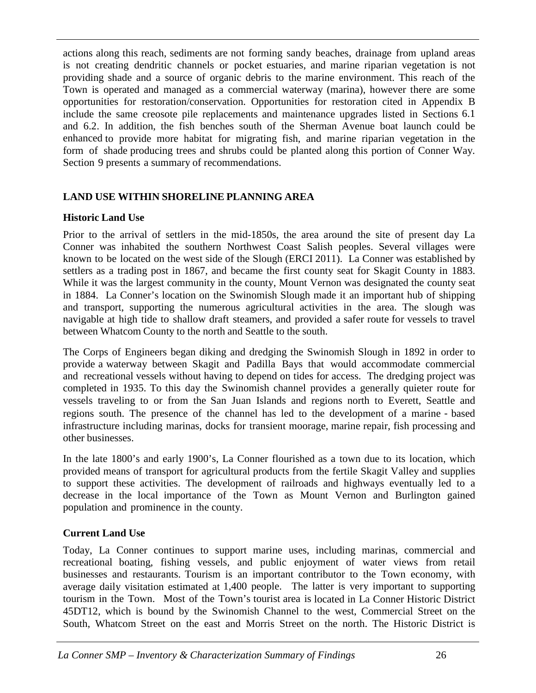actions along this reach, sediments are not forming sandy beaches, drainage from upland areas is not creating dendritic channels or pocket estuaries, and marine riparian vegetation is not providing shade and a source of organic debris to the marine environment. This reach of the Town is operated and managed as a commercial waterway (marina), however there are some opportunities for restoration/conservation. Opportunities for restoration cited in Appendix B include the same creosote pile replacements and maintenance upgrades listed in Sections 6.1 and 6.2. In addition, the fish benches south of the Sherman Avenue boat launch could be enhanced to provide more habitat for migrating fish, and marine riparian vegetation in the form of shade producing trees and shrubs could be planted along this portion of Conner Way. Section 9 presents a summary of recommendations.

### **LAND USE WITHIN SHORELINE PLANNING AREA**

#### **Historic Land Use**

Prior to the arrival of settlers in the mid-1850s, the area around the site of present day La Conner was inhabited the southern Northwest Coast Salish peoples. Several villages were known to be located on the west side of the Slough (ERCI 2011). La Conner was established by settlers as a trading post in 1867, and became the first county seat for Skagit County in 1883. While it was the largest community in the county, Mount Vernon was designated the county seat in 1884. La Conner's location on the Swinomish Slough made it an important hub of shipping and transport, supporting the numerous agricultural activities in the area. The slough was navigable at high tide to shallow draft steamers, and provided a safer route for vessels to travel between Whatcom County to the north and Seattle to the south.

The Corps of Engineers began diking and dredging the Swinomish Slough in 1892 in order to provide a waterway between Skagit and Padilla Bays that would accommodate commercial and recreational vessels without having to depend on tides for access. The dredging project was completed in 1935. To this day the Swinomish channel provides a generally quieter route for vessels traveling to or from the San Juan Islands and regions north to Everett, Seattle and regions south. The presence of the channel has led to the development of a marine‐based infrastructure including marinas, docks for transient moorage, marine repair, fish processing and other businesses.

In the late 1800's and early 1900's, La Conner flourished as a town due to its location, which provided means of transport for agricultural products from the fertile Skagit Valley and supplies to support these activities. The development of railroads and highways eventually led to a decrease in the local importance of the Town as Mount Vernon and Burlington gained population and prominence in the county.

#### **Current Land Use**

Today, La Conner continues to support marine uses, including marinas, commercial and recreational boating, fishing vessels, and public enjoyment of water views from retail businesses and restaurants. Tourism is an important contributor to the Town economy, with average daily visitation estimated at 1,400 people. The latter is very important to supporting tourism in the Town. Most of the Town's tourist area is located in La Conner Historic District 45DT12, which is bound by the Swinomish Channel to the west, Commercial Street on the South, Whatcom Street on the east and Morris Street on the north. The Historic District is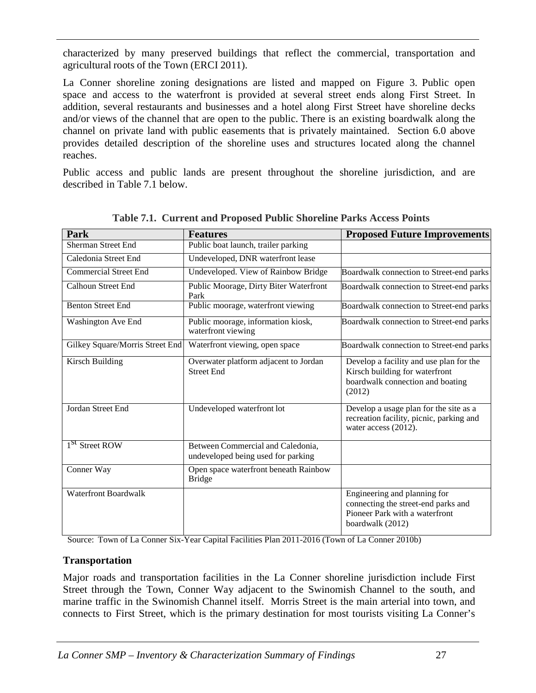characterized by many preserved buildings that reflect the commercial, transportation and agricultural roots of the Town (ERCI 2011).

La Conner shoreline zoning designations are listed and mapped on Figure 3. Public open space and access to the waterfront is provided at several street ends along First Street. In addition, several restaurants and businesses and a hotel along First Street have shoreline decks and/or views of the channel that are open to the public. There is an existing boardwalk along the channel on private land with public easements that is privately maintained. Section 6.0 above provides detailed description of the shoreline uses and structures located along the channel reaches.

Public access and public lands are present throughout the shoreline jurisdiction, and are described in Table 7.1 below.

| Park                            | <b>Features</b>                                                         | <b>Proposed Future Improvements</b>                                                                                       |
|---------------------------------|-------------------------------------------------------------------------|---------------------------------------------------------------------------------------------------------------------------|
| <b>Sherman Street End</b>       | Public boat launch, trailer parking                                     |                                                                                                                           |
| Caledonia Street End            | Undeveloped, DNR waterfront lease                                       |                                                                                                                           |
| <b>Commercial Street End</b>    | Undeveloped. View of Rainbow Bridge                                     | Boardwalk connection to Street-end parks                                                                                  |
| <b>Calhoun Street End</b>       | Public Moorage, Dirty Biter Waterfront<br>Park                          | Boardwalk connection to Street-end parks                                                                                  |
| <b>Benton Street End</b>        | Public moorage, waterfront viewing                                      | Boardwalk connection to Street-end parks                                                                                  |
| <b>Washington Ave End</b>       | Public moorage, information kiosk,<br>waterfront viewing                | Boardwalk connection to Street-end parks                                                                                  |
| Gilkey Square/Morris Street End | Waterfront viewing, open space                                          | Boardwalk connection to Street-end parks                                                                                  |
| <b>Kirsch Building</b>          | Overwater platform adjacent to Jordan<br><b>Street End</b>              | Develop a facility and use plan for the<br>Kirsch building for waterfront<br>boardwalk connection and boating<br>(2012)   |
| Jordan Street End               | Undeveloped waterfront lot                                              | Develop a usage plan for the site as a<br>recreation facility, picnic, parking and<br>water access (2012).                |
| 1 <sup>st</sup> Street ROW      | Between Commercial and Caledonia,<br>undeveloped being used for parking |                                                                                                                           |
| Conner Way                      | Open space waterfront beneath Rainbow<br><b>Bridge</b>                  |                                                                                                                           |
| <b>Waterfront Boardwalk</b>     |                                                                         | Engineering and planning for<br>connecting the street-end parks and<br>Pioneer Park with a waterfront<br>boardwalk (2012) |

**Table 7.1. Current and Proposed Public Shoreline Parks Access Points**

Source: Town of La Conner Six-Year Capital Facilities Plan 2011-2016 (Town of La Conner 2010b)

#### **Transportation**

Major roads and transportation facilities in the La Conner shoreline jurisdiction include First Street through the Town, Conner Way adjacent to the Swinomish Channel to the south, and marine traffic in the Swinomish Channel itself. Morris Street is the main arterial into town, and connects to First Street, which is the primary destination for most tourists visiting La Conner's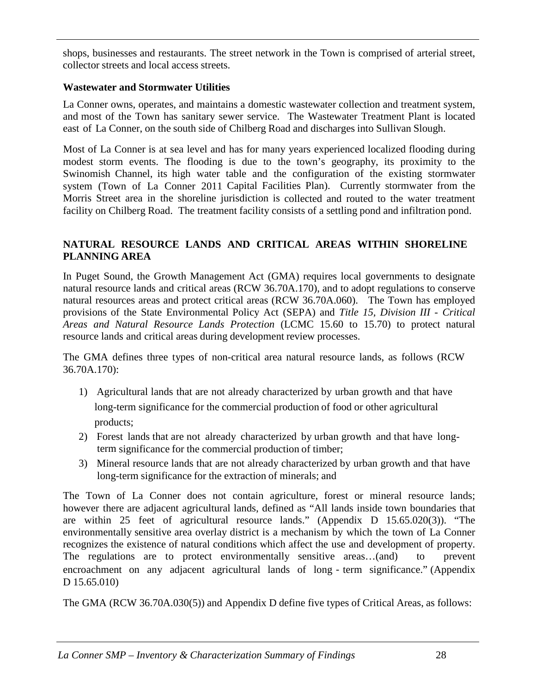shops, businesses and restaurants. The street network in the Town is comprised of arterial street, collector streets and local access streets.

#### **Wastewater and Stormwater Utilities**

La Conner owns, operates, and maintains a domestic wastewater collection and treatment system, and most of the Town has sanitary sewer service. The Wastewater Treatment Plant is located east of La Conner, on the south side of Chilberg Road and discharges into Sullivan Slough.

Most of La Conner is at sea level and has for many years experienced localized flooding during modest storm events. The flooding is due to the town's geography, its proximity to the Swinomish Channel, its high water table and the configuration of the existing stormwater system (Town of La Conner 2011 Capital Facilities Plan). Currently stormwater from the Morris Street area in the shoreline jurisdiction is collected and routed to the water treatment facility on Chilberg Road. The treatment facility consists of a settling pond and infiltration pond.

### **NATURAL RESOURCE LANDS AND CRITICAL AREAS WITHIN SHORELINE PLANNING AREA**

In Puget Sound, the Growth Management Act (GMA) requires local governments to designate natural resource lands and critical areas (RCW 36.70A.170), and to adopt regulations to conserve natural resources areas and protect critical areas (RCW 36.70A.060). The Town has employed provisions of the State Environmental Policy Act (SEPA) and *Title 15, Division III - Critical Areas and Natural Resource Lands Protection* (LCMC 15.60 to 15.70) to protect natural resource lands and critical areas during development review processes.

The GMA defines three types of non-critical area natural resource lands, as follows (RCW 36.70A.170):

- 1) Agricultural lands that are not already characterized by urban growth and that have long-term significance for the commercial production of food or other agricultural products;
- 2) Forest lands that are not already characterized by urban growth and that have longterm significance for the commercial production of timber;
- 3) Mineral resource lands that are not already characterized by urban growth and that have long-term significance for the extraction of minerals; and

The Town of La Conner does not contain agriculture, forest or mineral resource lands; however there are adjacent agricultural lands, defined as "All lands inside town boundaries that are within 25 feet of agricultural resource lands." (Appendix D 15.65.020(3)). "The environmentally sensitive area overlay district is a mechanism by which the town of La Conner recognizes the existence of natural conditions which affect the use and development of property. The regulations are to protect environmentally sensitive areas...(and) to prevent encroachment on any adjacent agricultural lands of long - term significance." (Appendix D 15.65.010)

The GMA (RCW 36.70A.030(5)) and Appendix D define five types of Critical Areas, as follows: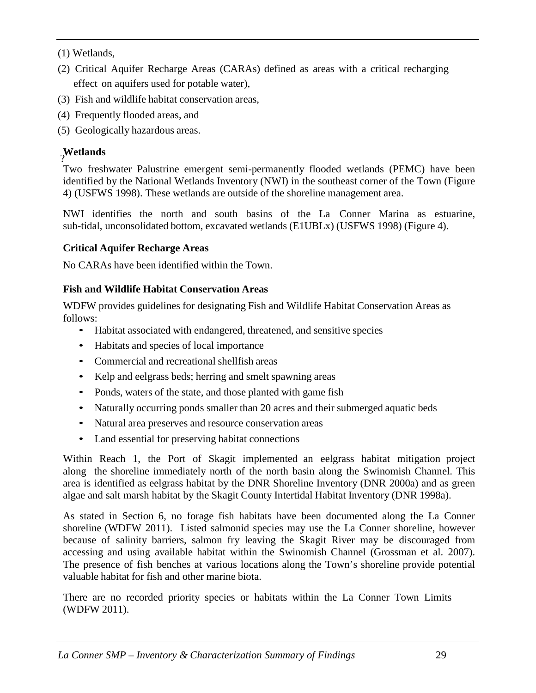(1) Wetlands,

- (2) Critical Aquifer Recharge Areas (CARAs) defined as areas with a critical recharging effect on aquifers used for potable water),
- (3) Fish and wildlife habitat conservation areas,
- (4) Frequently flooded areas, and
- (5) Geologically hazardous areas.

# **Wetlands** ?

Two freshwater Palustrine emergent semi-permanently flooded wetlands (PEMC) have been identified by the National Wetlands Inventory (NWI) in the southeast corner of the Town (Figure 4) (USFWS 1998). These wetlands are outside of the shoreline management area.

NWI identifies the north and south basins of the La Conner Marina as estuarine, sub-tidal, unconsolidated bottom, excavated wetlands (E1UBLx) (USFWS 1998) (Figure 4).

# **Critical Aquifer Recharge Areas**

No CARAs have been identified within the Town.

# **Fish and Wildlife Habitat Conservation Areas**

WDFW provides guidelines for designating Fish and Wildlife Habitat Conservation Areas as follows:

- Habitat associated with endangered, threatened, and sensitive species
- Habitats and species of local importance
- Commercial and recreational shellfish areas
- Kelp and eelgrass beds; herring and smelt spawning areas
- Ponds, waters of the state, and those planted with game fish
- Naturally occurring ponds smaller than 20 acres and their submerged aquatic beds
- Natural area preserves and resource conservation areas
- Land essential for preserving habitat connections

Within Reach 1, the Port of Skagit implemented an eelgrass habitat mitigation project along the shoreline immediately north of the north basin along the Swinomish Channel. This area is identified as eelgrass habitat by the DNR Shoreline Inventory (DNR 2000a) and as green algae and salt marsh habitat by the Skagit County Intertidal Habitat Inventory (DNR 1998a).

As stated in Section 6, no forage fish habitats have been documented along the La Conner shoreline (WDFW 2011). Listed salmonid species may use the La Conner shoreline, however because of salinity barriers, salmon fry leaving the Skagit River may be discouraged from accessing and using available habitat within the Swinomish Channel (Grossman et al. 2007). The presence of fish benches at various locations along the Town's shoreline provide potential valuable habitat for fish and other marine biota.

There are no recorded priority species or habitats within the La Conner Town Limits (WDFW 2011).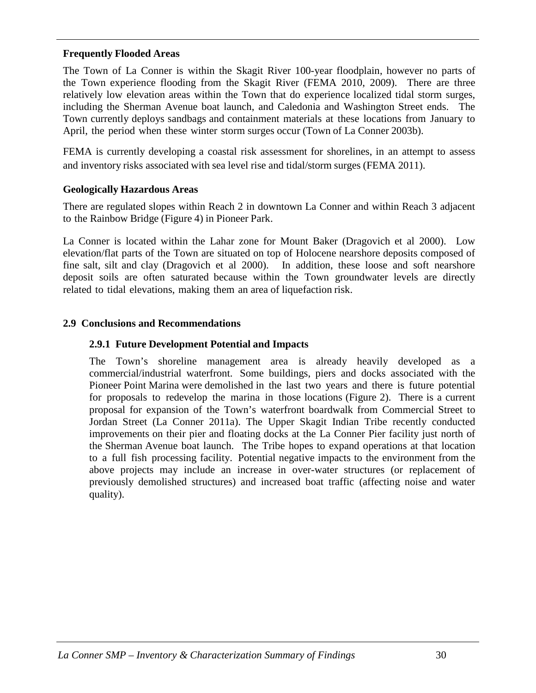#### **Frequently Flooded Areas**

The Town of La Conner is within the Skagit River 100-year floodplain, however no parts of the Town experience flooding from the Skagit River (FEMA 2010, 2009). There are three relatively low elevation areas within the Town that do experience localized tidal storm surges, including the Sherman Avenue boat launch, and Caledonia and Washington Street ends. The Town currently deploys sandbags and containment materials at these locations from January to April, the period when these winter storm surges occur (Town of La Conner 2003b).

FEMA is currently developing a coastal risk assessment for shorelines, in an attempt to assess and inventory risks associated with sea level rise and tidal/storm surges (FEMA 2011).

#### **Geologically Hazardous Areas**

There are regulated slopes within Reach 2 in downtown La Conner and within Reach 3 adjacent to the Rainbow Bridge (Figure 4) in Pioneer Park.

La Conner is located within the Lahar zone for Mount Baker (Dragovich et al 2000). Low elevation/flat parts of the Town are situated on top of Holocene nearshore deposits composed of fine salt, silt and clay (Dragovich et al 2000). In addition, these loose and soft nearshore deposit soils are often saturated because within the Town groundwater levels are directly related to tidal elevations, making them an area of liquefaction risk.

#### **2.9 Conclusions and Recommendations**

#### **2.9.1 Future Development Potential and Impacts**

The Town's shoreline management area is already heavily developed as a commercial/industrial waterfront. Some buildings, piers and docks associated with the Pioneer Point Marina were demolished in the last two years and there is future potential for proposals to redevelop the marina in those locations (Figure 2). There is a current proposal for expansion of the Town's waterfront boardwalk from Commercial Street to Jordan Street (La Conner 2011a). The Upper Skagit Indian Tribe recently conducted improvements on their pier and floating docks at the La Conner Pier facility just north of the Sherman Avenue boat launch. The Tribe hopes to expand operations at that location to a full fish processing facility. Potential negative impacts to the environment from the above projects may include an increase in over-water structures (or replacement of previously demolished structures) and increased boat traffic (affecting noise and water quality).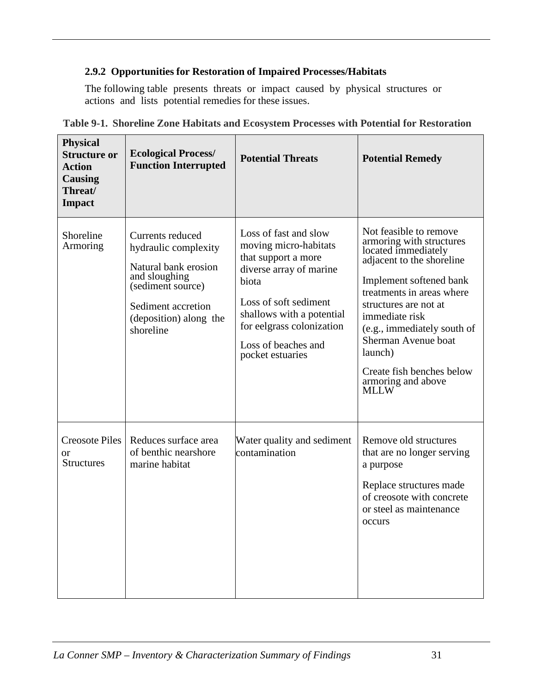### **2.9.2 Opportunities for Restoration of Impaired Processes/Habitats**

The following table presents threats or impact caused by physical structures or actions and lists potential remedies for these issues.

| <b>Physical</b><br><b>Structure or</b><br><b>Action</b><br><b>Causing</b><br>Threat/<br><b>Impact</b> | <b>Ecological Process/</b><br><b>Function Interrupted</b>                                                                                                           | <b>Potential Threats</b>                                                                                                                                                                                                                | <b>Potential Remedy</b>                                                                                                                                                                                                                                                                                                                      |
|-------------------------------------------------------------------------------------------------------|---------------------------------------------------------------------------------------------------------------------------------------------------------------------|-----------------------------------------------------------------------------------------------------------------------------------------------------------------------------------------------------------------------------------------|----------------------------------------------------------------------------------------------------------------------------------------------------------------------------------------------------------------------------------------------------------------------------------------------------------------------------------------------|
| Shoreline<br>Armoring                                                                                 | Currents reduced<br>hydraulic complexity<br>Natural bank erosion<br>and sloughing<br>(sediment source)<br>Sediment accretion<br>(deposition) along the<br>shoreline | Loss of fast and slow<br>moving micro-habitats<br>that support a more<br>diverse array of marine<br>biota<br>Loss of soft sediment<br>shallows with a potential<br>for eelgrass colonization<br>Loss of beaches and<br>pocket estuaries | Not feasible to remove<br>armoring with structures<br>located immediately<br>adjacent to the shoreline<br>Implement softened bank<br>treatments in areas where<br>structures are not at<br>immediate risk<br>(e.g., immediately south of<br>Sherman Avenue boat<br>launch)<br>Create fish benches below<br>armoring and above<br><b>MLLW</b> |
| <b>Creosote Piles</b><br><b>or</b><br><b>Structures</b>                                               | Reduces surface area<br>of benthic nearshore<br>marine habitat                                                                                                      | Water quality and sediment<br>contamination                                                                                                                                                                                             | Remove old structures<br>that are no longer serving<br>a purpose<br>Replace structures made<br>of creosote with concrete<br>or steel as maintenance<br><b>OCCULL</b> S                                                                                                                                                                       |

|  |  |  |  |  | Table 9-1. Shoreline Zone Habitats and Ecosystem Processes with Potential for Restoration |
|--|--|--|--|--|-------------------------------------------------------------------------------------------|
|  |  |  |  |  |                                                                                           |
|  |  |  |  |  |                                                                                           |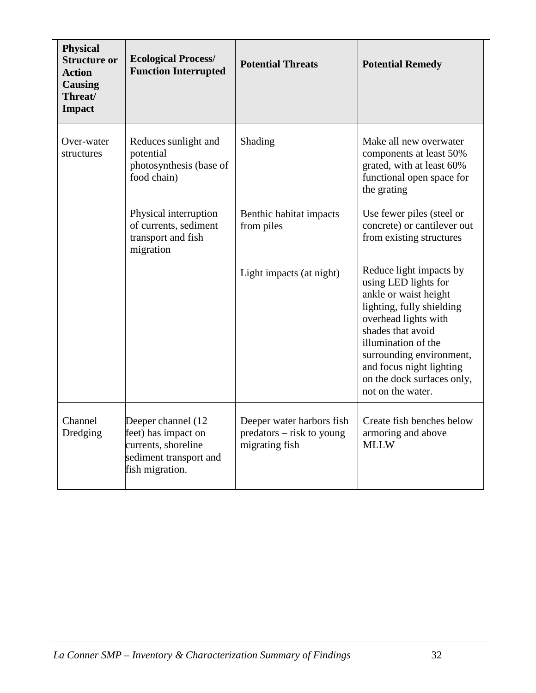| <b>Physical</b><br><b>Structure or</b><br><b>Action</b><br><b>Causing</b><br>Threat/<br><b>Impact</b> | <b>Ecological Process/</b><br><b>Function Interrupted</b>                                                     | <b>Potential Threats</b>                                                 | <b>Potential Remedy</b>                                                                                                                                                                                                                                                              |
|-------------------------------------------------------------------------------------------------------|---------------------------------------------------------------------------------------------------------------|--------------------------------------------------------------------------|--------------------------------------------------------------------------------------------------------------------------------------------------------------------------------------------------------------------------------------------------------------------------------------|
| Over-water<br>structures                                                                              | Reduces sunlight and<br>potential<br>photosynthesis (base of<br>food chain)                                   | Shading                                                                  | Make all new overwater<br>components at least 50%<br>grated, with at least 60%<br>functional open space for<br>the grating                                                                                                                                                           |
|                                                                                                       | Physical interruption<br>of currents, sediment<br>transport and fish<br>migration                             | Benthic habitat impacts<br>from piles                                    | Use fewer piles (steel or<br>concrete) or cantilever out<br>from existing structures                                                                                                                                                                                                 |
|                                                                                                       |                                                                                                               | Light impacts (at night)                                                 | Reduce light impacts by<br>using LED lights for<br>ankle or waist height<br>lighting, fully shielding<br>overhead lights with<br>shades that avoid<br>illumination of the<br>surrounding environment,<br>and focus night lighting<br>on the dock surfaces only,<br>not on the water. |
| Channel<br>Dredging                                                                                   | Deeper channel (12<br>feet) has impact on<br>currents, shoreline<br>sediment transport and<br>fish migration. | Deeper water harbors fish<br>predators – risk to young<br>migrating fish | Create fish benches below<br>armoring and above<br><b>MLLW</b>                                                                                                                                                                                                                       |